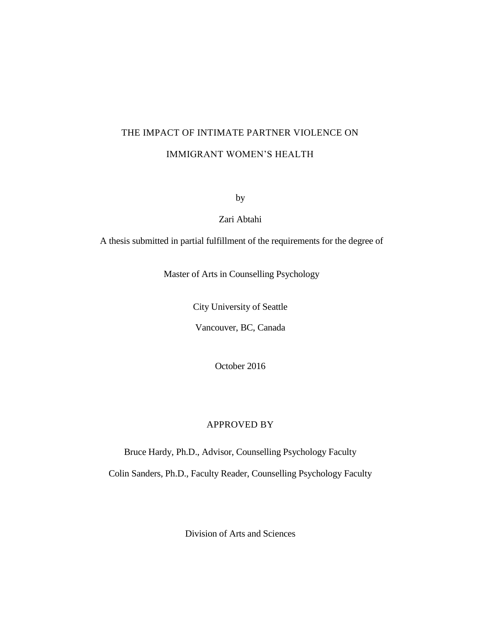# THE IMPACT OF INTIMATE PARTNER VIOLENCE ON IMMIGRANT WOMEN'S HEALTH

by

Zari Abtahi

A thesis submitted in partial fulfillment of the requirements for the degree of

Master of Arts in Counselling Psychology

City University of Seattle

Vancouver, BC, Canada

October 2016

# APPROVED BY

Bruce Hardy, Ph.D., Advisor, Counselling Psychology Faculty

Colin Sanders, Ph.D., Faculty Reader, Counselling Psychology Faculty

Division of Arts and Sciences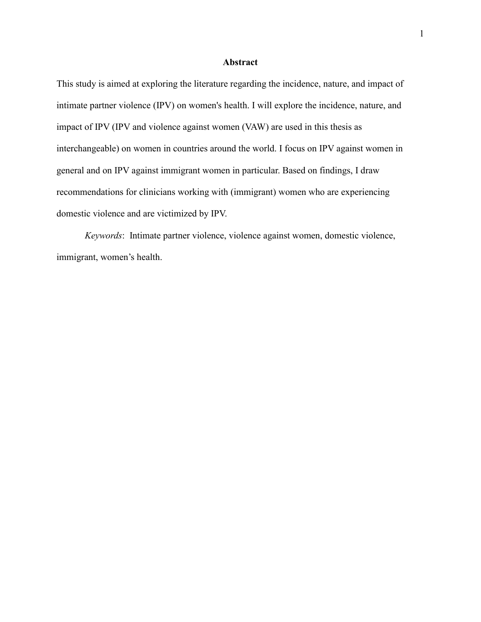# **Abstract**

This study is aimed at exploring the literature regarding the incidence, nature, and impact of intimate partner violence (IPV) on women's health. I will explore the incidence, nature, and impact of IPV (IPV and violence against women (VAW) are used in this thesis as interchangeable) on women in countries around the world. I focus on IPV against women in general and on IPV against immigrant women in particular. Based on findings, I draw recommendations for clinicians working with (immigrant) women who are experiencing domestic violence and are victimized by IPV.

*Keywords*: Intimate partner violence, violence against women, domestic violence, immigrant, women's health.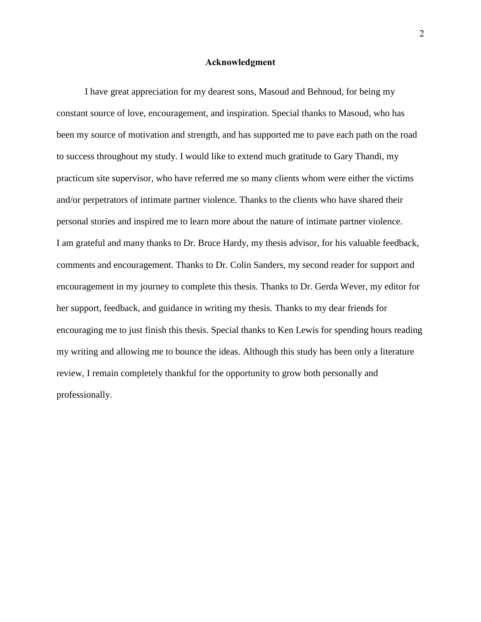#### **Acknowledgment**

I have great appreciation for my dearest sons, Masoud and Behnoud, for being my constant source of love, encouragement, and inspiration. Special thanks to Masoud, who has been my source of motivation and strength, and has supported me to pave each path on the road to success throughout my study. I would like to extend much gratitude to Gary Thandi, my practicum site supervisor, who have referred me so many clients whom were either the victims and/or perpetrators of intimate partner violence. Thanks to the clients who have shared their personal stories and inspired me to learn more about the nature of intimate partner violence. I am grateful and many thanks to Dr. Bruce Hardy, my thesis advisor, for his valuable feedback, comments and encouragement. Thanks to Dr. Colin Sanders, my second reader for support and encouragement in my journey to complete this thesis. Thanks to Dr. Gerda Wever, my editor for her support, feedback, and guidance in writing my thesis. Thanks to my dear friends for encouraging me to just finish this thesis. Special thanks to Ken Lewis for spending hours reading my writing and allowing me to bounce the ideas. Although this study has been only a literature review, I remain completely thankful for the opportunity to grow both personally and professionally.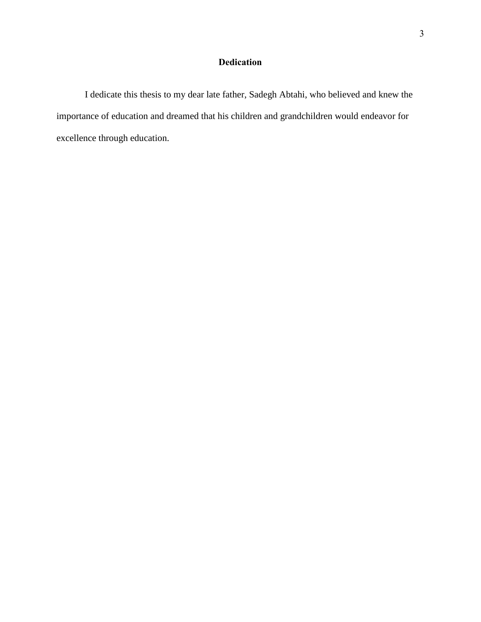# **Dedication**

I dedicate this thesis to my dear late father, Sadegh Abtahi, who believed and knew the importance of education and dreamed that his children and grandchildren would endeavor for excellence through education.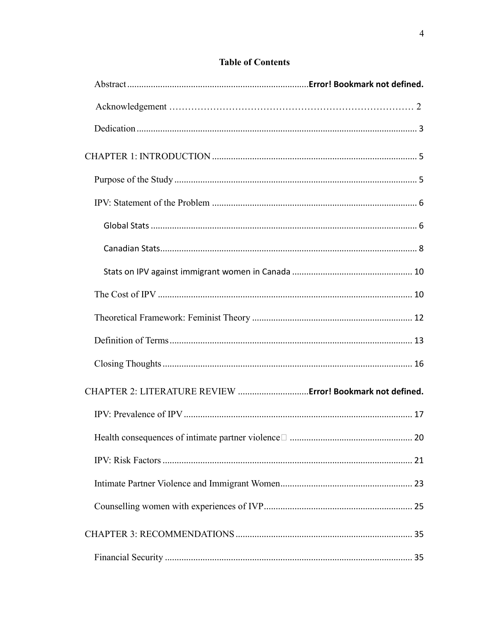# **Table of Contents**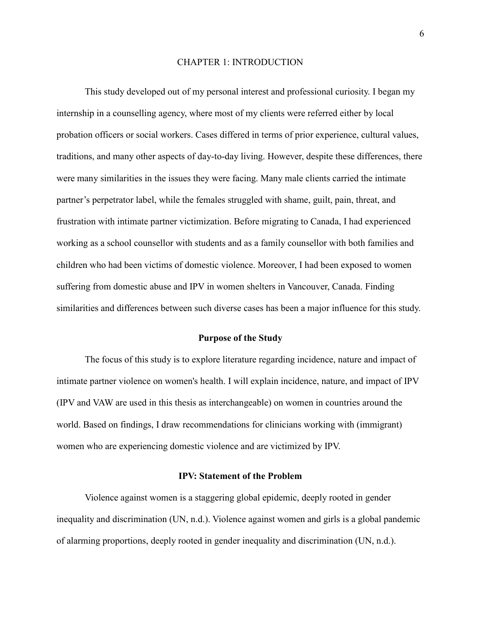#### CHAPTER 1: INTRODUCTION

This study developed out of my personal interest and professional curiosity. I began my internship in a counselling agency, where most of my clients were referred either by local probation officers or social workers. Cases differed in terms of prior experience, cultural values, traditions, and many other aspects of day-to-day living. However, despite these differences, there were many similarities in the issues they were facing. Many male clients carried the intimate partner's perpetrator label, while the females struggled with shame, guilt, pain, threat, and frustration with intimate partner victimization. Before migrating to Canada, I had experienced working as a school counsellor with students and as a family counsellor with both families and children who had been victims of domestic violence. Moreover, I had been exposed to women suffering from domestic abuse and IPV in women shelters in Vancouver, Canada. Finding similarities and differences between such diverse cases has been a major influence for this study.

# **Purpose of the Study**

The focus of this study is to explore literature regarding incidence, nature and impact of intimate partner violence on women's health. I will explain incidence, nature, and impact of IPV (IPV and VAW are used in this thesis as interchangeable) on women in countries around the world. Based on findings, I draw recommendations for clinicians working with (immigrant) women who are experiencing domestic violence and are victimized by IPV.

# **IPV: Statement of the Problem**

Violence against women is a staggering global epidemic, deeply rooted in gender inequality and discrimination (UN, n.d.). Violence against women and girls is a global pandemic of alarming proportions, deeply rooted in gender inequality and discrimination (UN, n.d.).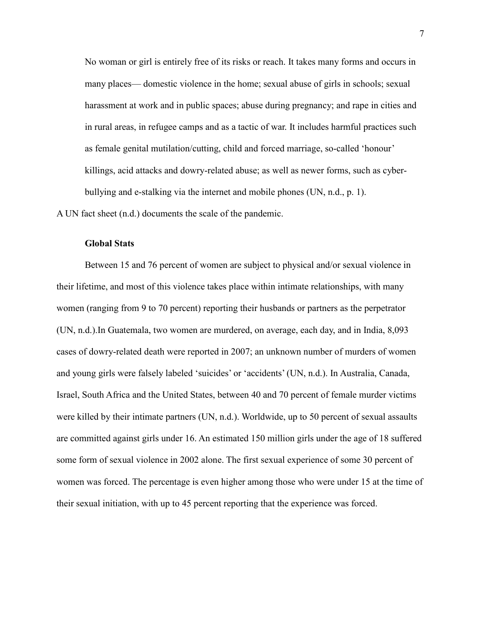No woman or girl is entirely free of its risks or reach. It takes many forms and occurs in many places— domestic violence in the home; sexual abuse of girls in schools; sexual harassment at work and in public spaces; abuse during pregnancy; and rape in cities and in rural areas, in refugee camps and as a tactic of war. It includes harmful practices such as female genital mutilation/cutting, child and forced marriage, so-called 'honour' killings, acid attacks and dowry-related abuse; as well as newer forms, such as cyberbullying and e-stalking via the internet and mobile phones (UN, n.d., p. 1).

A UN fact sheet (n.d.) documents the scale of the pandemic.

# **Global Stats**

Between 15 and 76 percent of women are subject to physical and/or sexual violence in their lifetime, and most of this violence takes place within intimate relationships, with many women (ranging from 9 to 70 percent) reporting their husbands or partners as the perpetrator (UN, n.d.).In Guatemala, two women are murdered, on average, each day, and in India, 8,093 cases of dowry-related death were reported in 2007; an unknown number of murders of women and young girls were falsely labeled 'suicides' or 'accidents' (UN, n.d.). In Australia, Canada, Israel, South Africa and the United States, between 40 and 70 percent of female murder victims were killed by their intimate partners (UN, n.d.). Worldwide, up to 50 percent of sexual assaults are committed against girls under 16. An estimated 150 million girls under the age of 18 suffered some form of sexual violence in 2002 alone. The first sexual experience of some 30 percent of women was forced. The percentage is even higher among those who were under 15 at the time of their sexual initiation, with up to 45 percent reporting that the experience was forced.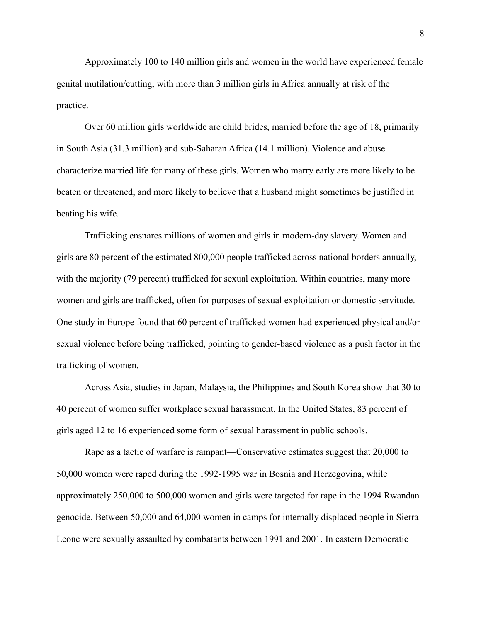Approximately 100 to 140 million girls and women in the world have experienced female genital mutilation/cutting, with more than 3 million girls in Africa annually at risk of the practice.

Over 60 million girls worldwide are child brides, married before the age of 18, primarily in South Asia (31.3 million) and sub-Saharan Africa (14.1 million). Violence and abuse characterize married life for many of these girls. Women who marry early are more likely to be beaten or threatened, and more likely to believe that a husband might sometimes be justified in beating his wife.

Trafficking ensnares millions of women and girls in modern-day slavery. Women and girls are 80 percent of the estimated 800,000 people trafficked across national borders annually, with the majority (79 percent) trafficked for sexual exploitation. Within countries, many more women and girls are trafficked, often for purposes of sexual exploitation or domestic servitude. One study in Europe found that 60 percent of trafficked women had experienced physical and/or sexual violence before being trafficked, pointing to gender-based violence as a push factor in the trafficking of women.

Across Asia, studies in Japan, Malaysia, the Philippines and South Korea show that 30 to 40 percent of women suffer workplace sexual harassment. In the United States, 83 percent of girls aged 12 to 16 experienced some form of sexual harassment in public schools.

Rape as a tactic of warfare is rampant—Conservative estimates suggest that 20,000 to 50,000 women were raped during the 1992-1995 war in Bosnia and Herzegovina, while approximately 250,000 to 500,000 women and girls were targeted for rape in the 1994 Rwandan genocide. Between 50,000 and 64,000 women in camps for internally displaced people in Sierra Leone were sexually assaulted by combatants between 1991 and 2001. In eastern Democratic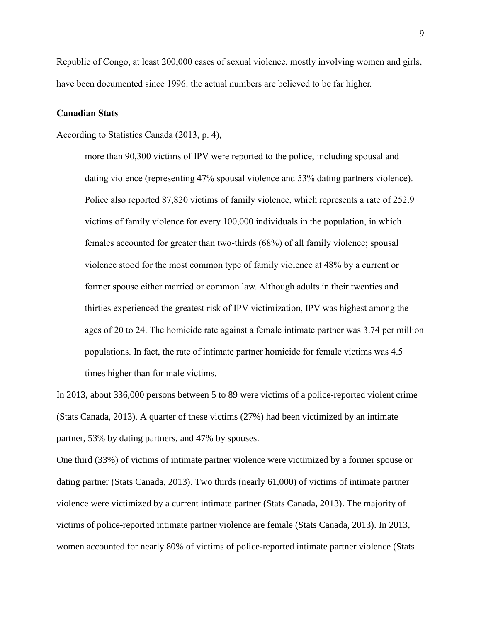Republic of Congo, at least 200,000 cases of sexual violence, mostly involving women and girls, have been documented since 1996: the actual numbers are believed to be far higher.

#### **Canadian Stats**

According to Statistics Canada (2013, p. 4),

more than 90,300 victims of IPV were reported to the police, including spousal and dating violence (representing 47% spousal violence and 53% dating partners violence). Police also reported 87,820 victims of family violence, which represents a rate of 252.9 victims of family violence for every 100,000 individuals in the population, in which females accounted for greater than two-thirds (68%) of all family violence; spousal violence stood for the most common type of family violence at 48% by a current or former spouse either married or common law. Although adults in their twenties and thirties experienced the greatest risk of IPV victimization, IPV was highest among the ages of 20 to 24. The homicide rate against a female intimate partner was 3.74 per million populations. In fact, the rate of intimate partner homicide for female victims was 4.5 times higher than for male victims.

In 2013, about 336,000 persons between 5 to 89 were victims of a police-reported violent crime (Stats Canada, 2013). A quarter of these victims (27%) had been victimized by an intimate partner, 53% by dating partners, and 47% by spouses.

One third (33%) of victims of intimate partner violence were victimized by a former spouse or dating partner (Stats Canada, 2013). Two thirds (nearly 61,000) of victims of intimate partner violence were victimized by a current intimate partner (Stats Canada, 2013). The majority of victims of police-reported intimate partner violence are female (Stats Canada, 2013). In 2013, women accounted for nearly 80% of victims of police-reported intimate partner violence (Stats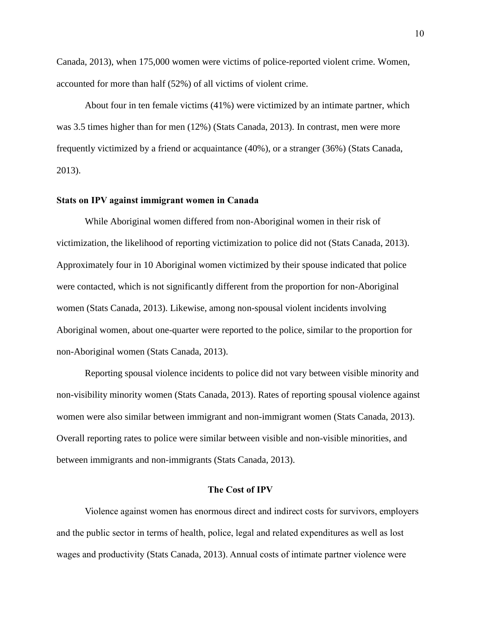Canada, 2013), when 175,000 women were victims of police-reported violent crime. Women, accounted for more than half (52%) of all victims of violent crime.

About four in ten female victims (41%) were victimized by an intimate partner, which was 3.5 times higher than for men (12%) (Stats Canada, 2013). In contrast, men were more frequently victimized by a friend or acquaintance (40%), or a stranger (36%) (Stats Canada, 2013).

#### **Stats on IPV against immigrant women in Canada**

While Aboriginal women differed from non-Aboriginal women in their risk of victimization, the likelihood of reporting victimization to police did not (Stats Canada, 2013). Approximately four in 10 Aboriginal women victimized by their spouse indicated that police were contacted, which is not significantly different from the proportion for non-Aboriginal women (Stats Canada, 2013). Likewise, among non-spousal violent incidents involving Aboriginal women, about one-quarter were reported to the police, similar to the proportion for non-Aboriginal women (Stats Canada, 2013).

Reporting spousal violence incidents to police did not vary between visible minority and non-visibility minority women (Stats Canada, 2013). Rates of reporting spousal violence against women were also similar between immigrant and non-immigrant women (Stats Canada, 2013). Overall reporting rates to police were similar between visible and non-visible minorities, and between immigrants and non-immigrants (Stats Canada, 2013).

#### **The Cost of IPV**

Violence against women has enormous direct and indirect costs for survivors, employers and the public sector in terms of health, police, legal and related expenditures as well as lost wages and productivity (Stats Canada, 2013). Annual costs of intimate partner violence were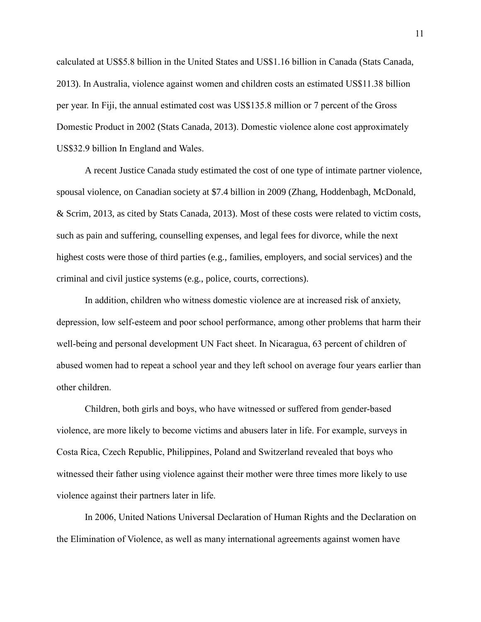calculated at US\$5.8 billion in the United States and US\$1.16 billion in Canada (Stats Canada, 2013). In Australia, violence against women and children costs an estimated US\$11.38 billion per year. In Fiji, the annual estimated cost was US\$135.8 million or 7 percent of the Gross Domestic Product in 2002 (Stats Canada, 2013). Domestic violence alone cost approximately US\$32.9 billion In England and Wales.

A recent Justice Canada study estimated the cost of one type of intimate partner violence, spousal violence, on Canadian society at \$7.4 billion in 2009 (Zhang, Hoddenbagh, McDonald, & Scrim, 2013, as cited by Stats Canada, 2013). Most of these costs were related to victim costs, such as pain and suffering, counselling expenses, and legal fees for divorce, while the next highest costs were those of third parties (e.g., families, employers, and social services) and the criminal and civil justice systems (e.g., police, courts, corrections).

In addition, children who witness domestic violence are at increased risk of anxiety, depression, low self-esteem and poor school performance, among other problems that harm their well-being and personal development UN Fact sheet. In Nicaragua, 63 percent of children of abused women had to repeat a school year and they left school on average four years earlier than other children.

Children, both girls and boys, who have witnessed or suffered from gender-based violence, are more likely to become victims and abusers later in life. For example, surveys in Costa Rica, Czech Republic, Philippines, Poland and Switzerland revealed that boys who witnessed their father using violence against their mother were three times more likely to use violence against their partners later in life.

In 2006, United Nations Universal Declaration of Human Rights and the Declaration on the Elimination of Violence, as well as many international agreements against women have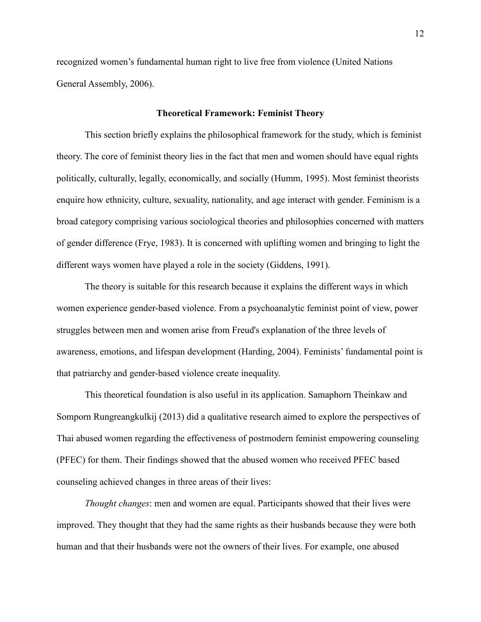recognized women's fundamental human right to live free from violence (United Nations General Assembly, 2006).

#### **Theoretical Framework: Feminist Theory**

This section briefly explains the philosophical framework for the study, which is feminist theory. The core of feminist theory lies in the fact that men and women should have equal rights politically, culturally, legally, economically, and socially (Humm, 1995). Most feminist theorists enquire how ethnicity, culture, sexuality, nationality, and age interact with gender. Feminism is a broad category comprising various sociological theories and philosophies concerned with matters of gender difference (Frye, 1983). It is concerned with uplifting women and bringing to light the different ways women have played a role in the society (Giddens, 1991).

The theory is suitable for this research because it explains the different ways in which women experience gender-based violence. From a psychoanalytic feminist point of view, power struggles between men and women arise from Freud's explanation of the three levels of awareness, emotions, and lifespan development (Harding, 2004). Feminists' fundamental point is that patriarchy and gender-based violence create inequality.

This theoretical foundation is also useful in its application. Samaphorn Theinkaw and Somporn Rungreangkulkij (2013) did a qualitative research aimed to explore the perspectives of Thai abused women regarding the effectiveness of postmodern feminist empowering counseling (PFEC) for them. Their findings showed that the abused women who received PFEC based counseling achieved changes in three areas of their lives:

*Thought changes*: men and women are equal. Participants showed that their lives were improved. They thought that they had the same rights as their husbands because they were both human and that their husbands were not the owners of their lives. For example, one abused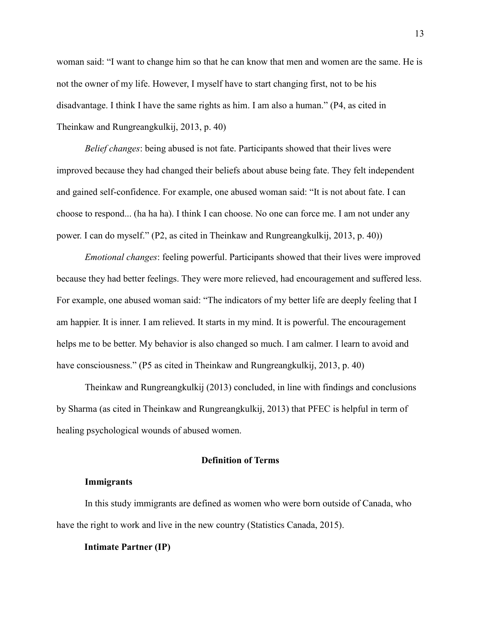woman said: "I want to change him so that he can know that men and women are the same. He is not the owner of my life. However, I myself have to start changing first, not to be his disadvantage. I think I have the same rights as him. I am also a human." (P4, as cited in Theinkaw and Rungreangkulkij, 2013, p. 40)

*Belief changes*: being abused is not fate. Participants showed that their lives were improved because they had changed their beliefs about abuse being fate. They felt independent and gained self-confidence. For example, one abused woman said: "It is not about fate. I can choose to respond... (ha ha ha). I think I can choose. No one can force me. I am not under any power. I can do myself." (P2, as cited in Theinkaw and Rungreangkulkij, 2013, p. 40))

*Emotional changes*: feeling powerful. Participants showed that their lives were improved because they had better feelings. They were more relieved, had encouragement and suffered less. For example, one abused woman said: "The indicators of my better life are deeply feeling that I am happier. It is inner. I am relieved. It starts in my mind. It is powerful. The encouragement helps me to be better. My behavior is also changed so much. I am calmer. I learn to avoid and have consciousness." (P5 as cited in Theinkaw and Rungreangkulkij, 2013, p. 40)

Theinkaw and Rungreangkulkij (2013) concluded, in line with findings and conclusions by Sharma (as cited in Theinkaw and Rungreangkulkij, 2013) that PFEC is helpful in term of healing psychological wounds of abused women.

#### **Definition of Terms**

#### **Immigrants**

In this study immigrants are defined as women who were born outside of Canada, who have the right to work and live in the new country (Statistics Canada, 2015).

#### **Intimate Partner (IP)**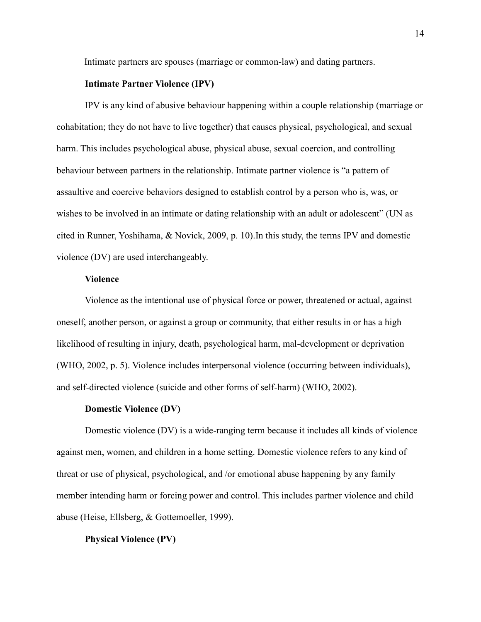Intimate partners are spouses (marriage or common-law) and dating partners.

# **Intimate Partner Violence (IPV)**

IPV is any kind of abusive behaviour happening within a couple relationship (marriage or cohabitation; they do not have to live together) that causes physical, psychological, and sexual harm. This includes psychological abuse, physical abuse, sexual coercion, and controlling behaviour between partners in the relationship. Intimate partner violence is "a pattern of assaultive and coercive behaviors designed to establish control by a person who is, was, or wishes to be involved in an intimate or dating relationship with an adult or adolescent" (UN as cited in Runner, Yoshihama, & Novick, 2009, p. 10).In this study, the terms IPV and domestic violence (DV) are used interchangeably.

# **Violence**

Violence as the intentional use of physical force or power, threatened or actual, against oneself, another person, or against a group or community, that either results in or has a high likelihood of resulting in injury, death, psychological harm, mal-development or deprivation (WHO, 2002, p. 5). Violence includes interpersonal violence (occurring between individuals), and self-directed violence (suicide and other forms of self-harm) (WHO, 2002).

#### **Domestic Violence (DV)**

Domestic violence (DV) is a wide-ranging term because it includes all kinds of violence against men, women, and children in a home setting. Domestic violence refers to any kind of threat or use of physical, psychological, and /or emotional abuse happening by any family member intending harm or forcing power and control. This includes partner violence and child abuse (Heise, Ellsberg, & Gottemoeller, 1999).

#### **Physical Violence (PV)**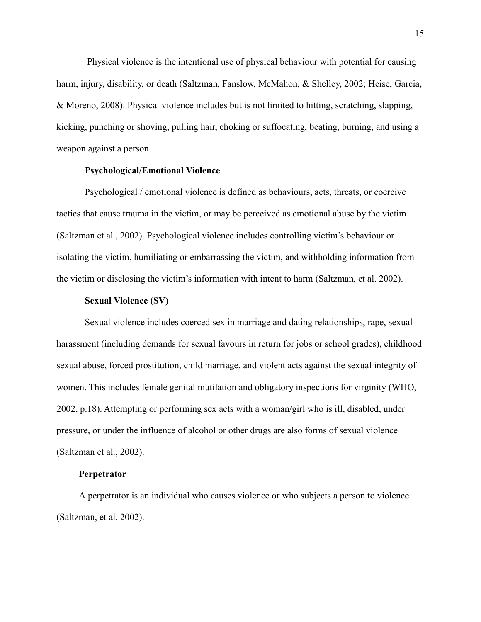Physical violence is the intentional use of physical behaviour with potential for causing harm, injury, disability, or death (Saltzman, Fanslow, McMahon, & Shelley, 2002; Heise, Garcia, & Moreno, 2008). Physical violence includes but is not limited to hitting, scratching, slapping, kicking, punching or shoving, pulling hair, choking or suffocating, beating, burning, and using a weapon against a person.

#### **Psychological/Emotional Violence**

Psychological / emotional violence is defined as behaviours, acts, threats, or coercive tactics that cause trauma in the victim, or may be perceived as emotional abuse by the victim (Saltzman et al., 2002). Psychological violence includes controlling victim's behaviour or isolating the victim, humiliating or embarrassing the victim, and withholding information from the victim or disclosing the victim's information with intent to harm (Saltzman, et al. 2002).

# **Sexual Violence (SV)**

Sexual violence includes coerced sex in marriage and dating relationships, rape, sexual harassment (including demands for sexual favours in return for jobs or school grades), childhood sexual abuse, forced prostitution, child marriage, and violent acts against the sexual integrity of women. This includes female genital mutilation and obligatory inspections for virginity (WHO, 2002, p.18). Attempting or performing sex acts with a woman/girl who is ill, disabled, under pressure, or under the influence of alcohol or other drugs are also forms of sexual violence (Saltzman et al., 2002).

# **Perpetrator**

A perpetrator is an individual who causes violence or who subjects a person to violence (Saltzman, et al. 2002).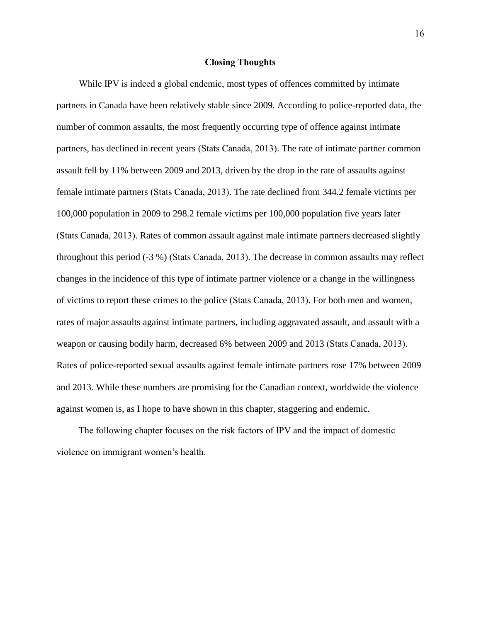# **Closing Thoughts**

While IPV is indeed a global endemic, most types of offences committed by intimate partners in Canada have been relatively stable since 2009. According to police-reported data, the number of common assaults, the most frequently occurring type of offence against intimate partners, has declined in recent years (Stats Canada, 2013). The rate of intimate partner common assault fell by 11% between 2009 and 2013, driven by the drop in the rate of assaults against female intimate partners (Stats Canada, 2013). The rate declined from 344.2 female victims per 100,000 population in 2009 to 298.2 female victims per 100,000 population five years later (Stats Canada, 2013). Rates of common assault against male intimate partners decreased slightly throughout this period (-3 %) (Stats Canada, 2013). The decrease in common assaults may reflect changes in the incidence of this type of intimate partner violence or a change in the willingness of victims to report these crimes to the police (Stats Canada, 2013). For both men and women, rates of major assaults against intimate partners, including aggravated assault, and assault with a weapon or causing bodily harm, decreased 6% between 2009 and 2013 (Stats Canada, 2013). Rates of police-reported sexual assaults against female intimate partners rose 17% between 2009 and 2013. While these numbers are promising for the Canadian context, worldwide the violence against women is, as I hope to have shown in this chapter, staggering and endemic.

The following chapter focuses on the risk factors of IPV and the impact of domestic violence on immigrant women's health.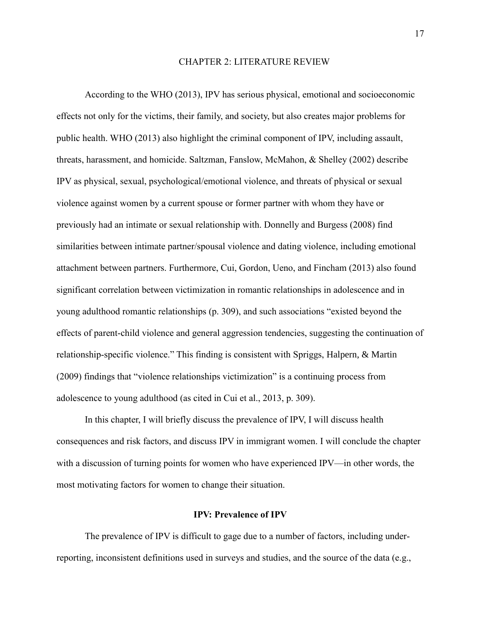# CHAPTER 2: LITERATURE REVIEW

According to the WHO (2013), IPV has serious physical, emotional and socioeconomic effects not only for the victims, their family, and society, but also creates major problems for public health. WHO (2013) also highlight the criminal component of IPV, including assault, threats, harassment, and homicide. Saltzman, Fanslow, McMahon, & Shelley (2002) describe IPV as physical, sexual, psychological/emotional violence, and threats of physical or sexual violence against women by a current spouse or former partner with whom they have or previously had an intimate or sexual relationship with. Donnelly and Burgess (2008) find similarities between intimate partner/spousal violence and dating violence, including emotional attachment between partners. Furthermore, Cui, Gordon, Ueno, and Fincham (2013) also found significant correlation between victimization in romantic relationships in adolescence and in young adulthood romantic relationships (p. 309), and such associations "existed beyond the effects of parent-child violence and general aggression tendencies, suggesting the continuation of relationship-specific violence." This finding is consistent with Spriggs, Halpern, & Martin (2009) findings that "violence relationships victimization" is a continuing process from adolescence to young adulthood (as cited in Cui et al., 2013, p. 309).

In this chapter, I will briefly discuss the prevalence of IPV, I will discuss health consequences and risk factors, and discuss IPV in immigrant women. I will conclude the chapter with a discussion of turning points for women who have experienced IPV—in other words, the most motivating factors for women to change their situation.

# **IPV: Prevalence of IPV**

The prevalence of IPV is difficult to gage due to a number of factors, including underreporting, inconsistent definitions used in surveys and studies, and the source of the data (e.g.,

17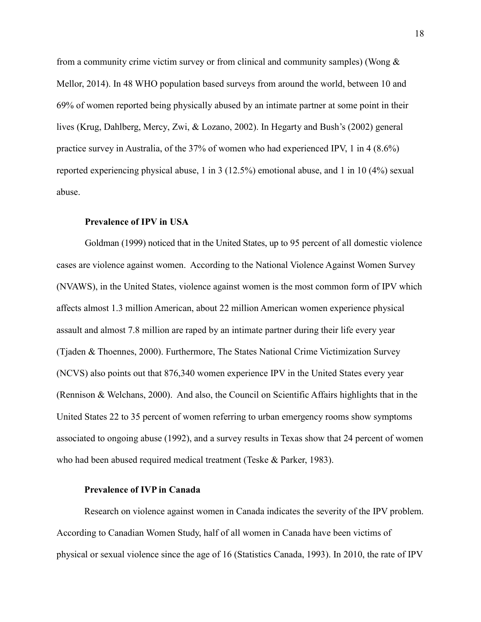from a community crime victim survey or from clinical and community samples) (Wong  $\&$ Mellor, 2014). In 48 WHO population based surveys from around the world, between 10 and 69% of women reported being physically abused by an intimate partner at some point in their lives (Krug, Dahlberg, Mercy, Zwi, & Lozano, 2002). In Hegarty and Bush's (2002) general practice survey in Australia, of the 37% of women who had experienced IPV, 1 in 4 (8.6%) reported experiencing physical abuse, 1 in 3 (12.5%) emotional abuse, and 1 in 10 (4%) sexual abuse.

# **Prevalence of IPV in USA**

Goldman (1999) noticed that in the United States, up to 95 percent of all domestic violence cases are violence against women. According to the National Violence Against Women Survey (NVAWS), in the United States, violence against women is the most common form of IPV which affects almost 1.3 million American, about 22 million American women experience physical assault and almost 7.8 million are raped by an intimate partner during their life every year (Tjaden & Thoennes, 2000). Furthermore, The States National Crime Victimization Survey (NCVS) also points out that 876,340 women experience IPV in the United States every year (Rennison & Welchans, 2000). And also, the Council on Scientific Affairs highlights that in the United States 22 to 35 percent of women referring to urban emergency rooms show symptoms associated to ongoing abuse (1992), and a survey results in Texas show that 24 percent of women who had been abused required medical treatment (Teske & Parker, 1983).

# **Prevalence of IVP in Canada**

Research on violence against women in Canada indicates the severity of the IPV problem. According to Canadian Women Study, half of all women in Canada have been victims of physical or sexual violence since the age of 16 (Statistics Canada, 1993). In 2010, the rate of IPV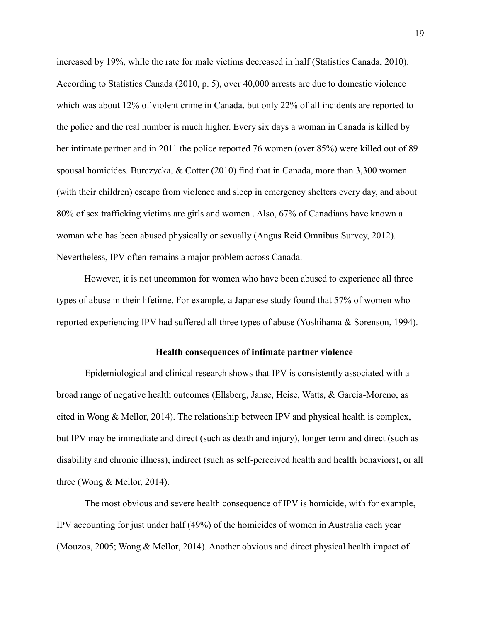increased by 19%, while the rate for male victims decreased in half (Statistics Canada, 2010). According to Statistics Canada (2010, p. 5), over 40,000 arrests are due to domestic violence which was about 12% of violent crime in Canada, but only 22% of all incidents are reported to the police and the real number is much higher. Every six days a woman in Canada is killed by her intimate partner and in 2011 the police reported 76 women (over 85%) were killed out of 89 spousal homicides. Burczycka, & Cotter (2010) find that in Canada, more than 3,300 women (with their children) escape from violence and sleep in emergency shelters every day, and about 80% of sex trafficking victims are girls and women . Also, 67% of Canadians have known a woman who has been abused physically or sexually (Angus Reid Omnibus Survey, 2012). Nevertheless, IPV often remains a major problem across Canada.

However, it is not uncommon for women who have been abused to experience all three types of abuse in their lifetime. For example, a Japanese study found that 57% of women who reported experiencing IPV had suffered all three types of abuse (Yoshihama & Sorenson, 1994).

# **Health consequences of intimate partner violence**

Epidemiological and clinical research shows that IPV is consistently associated with a broad range of negative health outcomes (Ellsberg, Janse, Heise, Watts, & Garcia-Moreno, as cited in Wong & Mellor, 2014). The relationship between IPV and physical health is complex, but IPV may be immediate and direct (such as death and injury), longer term and direct (such as disability and chronic illness), indirect (such as self-perceived health and health behaviors), or all three (Wong & Mellor, 2014).

The most obvious and severe health consequence of IPV is homicide, with for example, IPV accounting for just under half (49%) of the homicides of women in Australia each year (Mouzos, 2005; Wong & Mellor, 2014). Another obvious and direct physical health impact of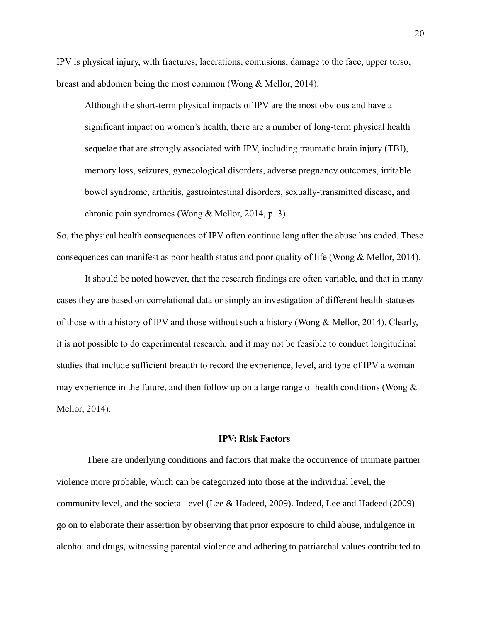IPV is physical injury, with fractures, lacerations, contusions, damage to the face, upper torso, breast and abdomen being the most common (Wong & Mellor, 2014).

Although the short-term physical impacts of IPV are the most obvious and have a significant impact on women's health, there are a number of long-term physical health sequelae that are strongly associated with IPV, including traumatic brain injury (TBI), memory loss, seizures, gynecological disorders, adverse pregnancy outcomes, irritable bowel syndrome, arthritis, gastrointestinal disorders, sexually-transmitted disease, and chronic pain syndromes (Wong & Mellor, 2014, p. 3).

So, the physical health consequences of IPV often continue long after the abuse has ended. These consequences can manifest as poor health status and poor quality of life (Wong & Mellor, 2014).

It should be noted however, that the research findings are often variable, and that in many cases they are based on correlational data or simply an investigation of different health statuses of those with a history of IPV and those without such a history (Wong & Mellor, 2014). Clearly, it is not possible to do experimental research, and it may not be feasible to conduct longitudinal studies that include sufficient breadth to record the experience, level, and type of IPV a woman may experience in the future, and then follow up on a large range of health conditions (Wong  $\&$ Mellor, 2014).

#### **IPV: Risk Factors**

There are underlying conditions and factors that make the occurrence of intimate partner violence more probable, which can be categorized into those at the individual level, the community level, and the societal level (Lee & Hadeed, 2009). Indeed, Lee and Hadeed (2009) go on to elaborate their assertion by observing that prior exposure to child abuse, indulgence in alcohol and drugs, witnessing parental violence and adhering to patriarchal values contributed to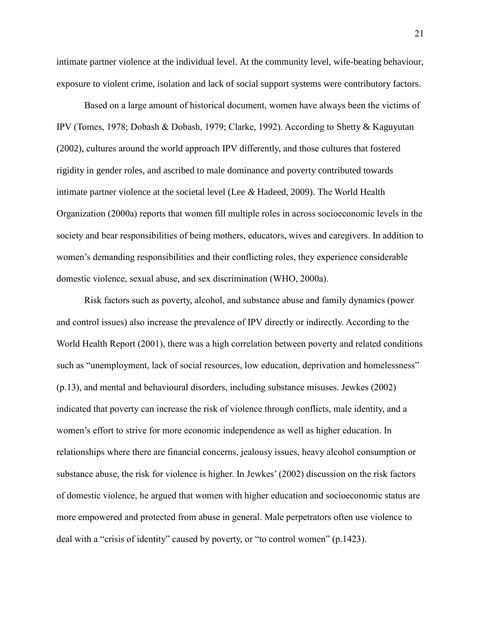intimate partner violence at the individual level. At the community level, wife-beating behaviour, exposure to violent crime, isolation and lack of social support systems were contributory factors.

Based on a large amount of historical document, women have always been the victims of IPV (Tomes, 1978; Dobash & Dobash, 1979; Clarke, 1992). According to Shetty & Kaguyutan (2002), cultures around the world approach IPV differently, and those cultures that fostered rigidity in gender roles, and ascribed to male dominance and poverty contributed towards intimate partner violence at the societal level (Lee *&* Hadeed, 2009). The World Health Organization (2000a) reports that women fill multiple roles in across socioeconomic levels in the society and bear responsibilities of being mothers, educators, wives and caregivers. In addition to women's demanding responsibilities and their conflicting roles, they experience considerable domestic violence, sexual abuse, and sex discrimination (WHO, 2000a).

Risk factors such as poverty, alcohol, and substance abuse and family dynamics (power and control issues) also increase the prevalence of IPV directly or indirectly. According to the World Health Report (2001), there was a high correlation between poverty and related conditions such as "unemployment, lack of social resources, low education, deprivation and homelessness" (p.13), and mental and behavioural disorders, including substance misuses. Jewkes (2002) indicated that poverty can increase the risk of violence through conflicts, male identity, and a women's effort to strive for more economic independence as well as higher education. In relationships where there are financial concerns, jealousy issues, heavy alcohol consumption or substance abuse, the risk for violence is higher. In Jewkes' (2002) discussion on the risk factors of domestic violence, he argued that women with higher education and socioeconomic status are more empowered and protected from abuse in general. Male perpetrators often use violence to deal with a "crisis of identity" caused by poverty, or "to control women" (p.1423).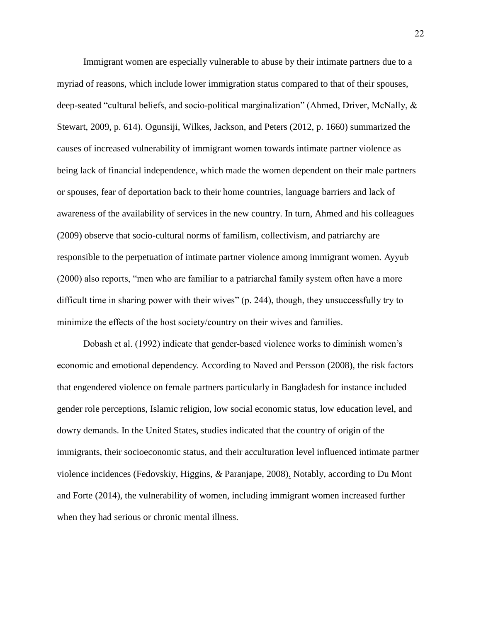Immigrant women are especially vulnerable to abuse by their intimate partners due to a myriad of reasons, which include lower immigration status compared to that of their spouses, deep-seated "cultural beliefs, and socio-political marginalization" (Ahmed, Driver, McNally, & Stewart, 2009, p. 614). Ogunsiji, Wilkes, Jackson, and Peters (2012, p. 1660) summarized the causes of increased vulnerability of immigrant women towards intimate partner violence as being lack of financial independence, which made the women dependent on their male partners or spouses, fear of deportation back to their home countries, language barriers and lack of awareness of the availability of services in the new country. In turn, Ahmed and his colleagues (2009) observe that socio-cultural norms of familism, collectivism, and patriarchy are responsible to the perpetuation of intimate partner violence among immigrant women. Ayyub (2000) also reports, "men who are familiar to a patriarchal family system often have a more difficult time in sharing power with their wives" (p. 244), though, they unsuccessfully try to minimize the effects of the host society/country on their wives and families.

Dobash et al. (1992) indicate that gender-based violence works to diminish women's economic and emotional dependency. According to Naved and Persson (2008), the risk factors that engendered violence on female partners particularly in Bangladesh for instance included gender role perceptions, Islamic religion, low social economic status, low education level, and dowry demands. In the United States, studies indicated that the country of origin of the immigrants, their socioeconomic status, and their acculturation level influenced intimate partner violence incidences (Fedovskiy, Higgins, *&* Paranjape, 2008). Notably, according to Du Mont and Forte (2014), the vulnerability of women, including immigrant women increased further when they had serious or chronic mental illness.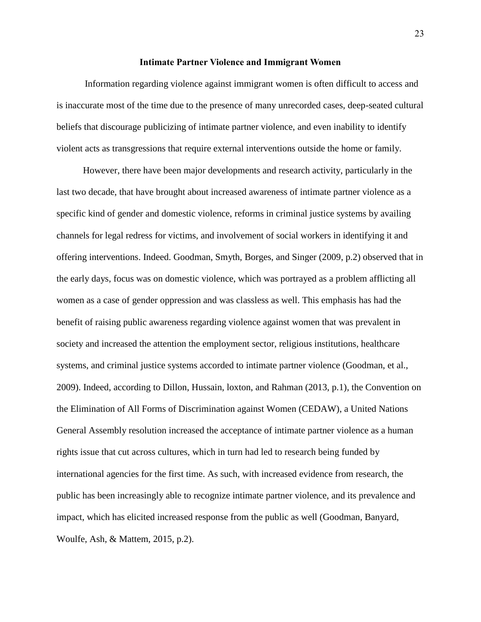#### **Intimate Partner Violence and Immigrant Women**

Information regarding violence against immigrant women is often difficult to access and is inaccurate most of the time due to the presence of many unrecorded cases, deep-seated cultural beliefs that discourage publicizing of intimate partner violence, and even inability to identify violent acts as transgressions that require external interventions outside the home or family.

However, there have been major developments and research activity, particularly in the last two decade, that have brought about increased awareness of intimate partner violence as a specific kind of gender and domestic violence, reforms in criminal justice systems by availing channels for legal redress for victims, and involvement of social workers in identifying it and offering interventions. Indeed. Goodman, Smyth, Borges, and Singer (2009, p.2) observed that in the early days, focus was on domestic violence, which was portrayed as a problem afflicting all women as a case of gender oppression and was classless as well. This emphasis has had the benefit of raising public awareness regarding violence against women that was prevalent in society and increased the attention the employment sector, religious institutions, healthcare systems, and criminal justice systems accorded to intimate partner violence (Goodman, et al., 2009). Indeed, according to Dillon, Hussain, loxton, and Rahman (2013, p.1), the Convention on the Elimination of All Forms of Discrimination against Women (CEDAW), a United Nations General Assembly resolution increased the acceptance of intimate partner violence as a human rights issue that cut across cultures, which in turn had led to research being funded by international agencies for the first time. As such, with increased evidence from research, the public has been increasingly able to recognize intimate partner violence, and its prevalence and impact, which has elicited increased response from the public as well (Goodman, Banyard, Woulfe, Ash, & Mattem, 2015, p.2).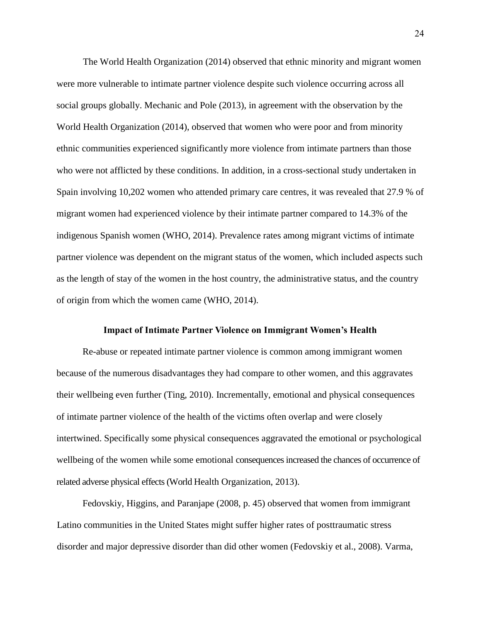The World Health Organization (2014) observed that ethnic minority and migrant women were more vulnerable to intimate partner violence despite such violence occurring across all social groups globally. Mechanic and Pole (2013), in agreement with the observation by the World Health Organization (2014), observed that women who were poor and from minority ethnic communities experienced significantly more violence from intimate partners than those who were not afflicted by these conditions. In addition, in a cross-sectional study undertaken in Spain involving 10,202 women who attended primary care centres, it was revealed that 27.9 % of migrant women had experienced violence by their intimate partner compared to 14.3% of the indigenous Spanish women (WHO, 2014). Prevalence rates among migrant victims of intimate partner violence was dependent on the migrant status of the women, which included aspects such as the length of stay of the women in the host country, the administrative status, and the country of origin from which the women came (WHO, 2014).

#### **Impact of Intimate Partner Violence on Immigrant Women's Health**

Re-abuse or repeated intimate partner violence is common among immigrant women because of the numerous disadvantages they had compare to other women, and this aggravates their wellbeing even further (Ting, 2010). Incrementally, emotional and physical consequences of intimate partner violence of the health of the victims often overlap and were closely intertwined. Specifically some physical consequences aggravated the emotional or psychological wellbeing of the women while some emotional consequences increased the chances of occurrence of related adverse physical effects (World Health Organization, 2013).

Fedovskiy, Higgins, and Paranjape (2008, p. 45) observed that women from immigrant Latino communities in the United States might suffer higher rates of posttraumatic stress disorder and major depressive disorder than did other women (Fedovskiy et al., 2008). Varma,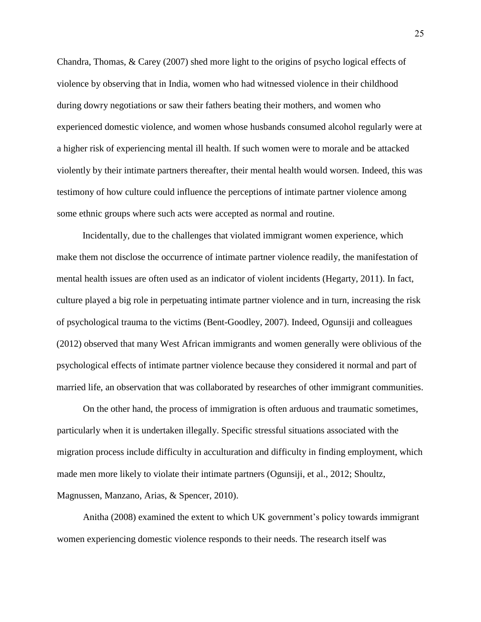Chandra, Thomas, & Carey (2007) shed more light to the origins of psycho logical effects of violence by observing that in India, women who had witnessed violence in their childhood during dowry negotiations or saw their fathers beating their mothers, and women who experienced domestic violence, and women whose husbands consumed alcohol regularly were at a higher risk of experiencing mental ill health. If such women were to morale and be attacked violently by their intimate partners thereafter, their mental health would worsen. Indeed, this was testimony of how culture could influence the perceptions of intimate partner violence among some ethnic groups where such acts were accepted as normal and routine.

Incidentally, due to the challenges that violated immigrant women experience, which make them not disclose the occurrence of intimate partner violence readily, the manifestation of mental health issues are often used as an indicator of violent incidents (Hegarty, 2011). In fact, culture played a big role in perpetuating intimate partner violence and in turn, increasing the risk of psychological trauma to the victims (Bent-Goodley, 2007). Indeed, Ogunsiji and colleagues (2012) observed that many West African immigrants and women generally were oblivious of the psychological effects of intimate partner violence because they considered it normal and part of married life, an observation that was collaborated by researches of other immigrant communities.

On the other hand, the process of immigration is often arduous and traumatic sometimes, particularly when it is undertaken illegally. Specific stressful situations associated with the migration process include difficulty in acculturation and difficulty in finding employment, which made men more likely to violate their intimate partners (Ogunsiji, et al., 2012; Shoultz, Magnussen, Manzano, Arias, & Spencer, 2010).

Anitha (2008) examined the extent to which UK government's policy towards immigrant women experiencing domestic violence responds to their needs. The research itself was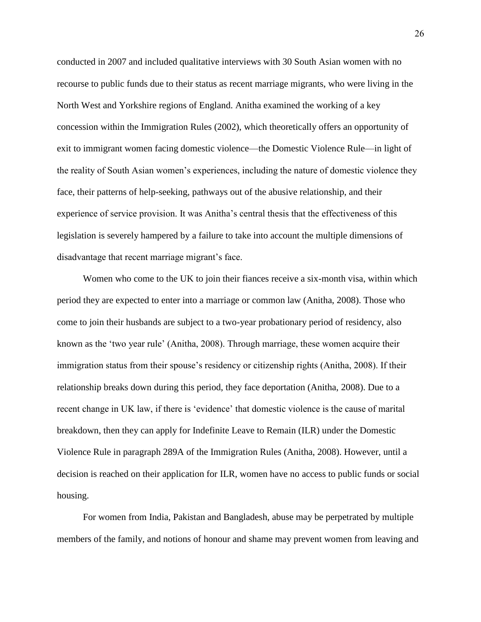conducted in 2007 and included qualitative interviews with 30 South Asian women with no recourse to public funds due to their status as recent marriage migrants, who were living in the North West and Yorkshire regions of England. Anitha examined the working of a key concession within the Immigration Rules (2002), which theoretically offers an opportunity of exit to immigrant women facing domestic violence—the Domestic Violence Rule—in light of the reality of South Asian women's experiences, including the nature of domestic violence they face, their patterns of help-seeking, pathways out of the abusive relationship, and their experience of service provision. It was Anitha's central thesis that the effectiveness of this legislation is severely hampered by a failure to take into account the multiple dimensions of disadvantage that recent marriage migrant's face.

Women who come to the UK to join their fiances receive a six-month visa, within which period they are expected to enter into a marriage or common law (Anitha, 2008). Those who come to join their husbands are subject to a two-year probationary period of residency, also known as the 'two year rule' (Anitha, 2008). Through marriage, these women acquire their immigration status from their spouse's residency or citizenship rights (Anitha, 2008). If their relationship breaks down during this period, they face deportation (Anitha, 2008). Due to a recent change in UK law, if there is 'evidence' that domestic violence is the cause of marital breakdown, then they can apply for Indefinite Leave to Remain (ILR) under the Domestic Violence Rule in paragraph 289A of the Immigration Rules (Anitha, 2008). However, until a decision is reached on their application for ILR, women have no access to public funds or social housing.

For women from India, Pakistan and Bangladesh, abuse may be perpetrated by multiple members of the family, and notions of honour and shame may prevent women from leaving and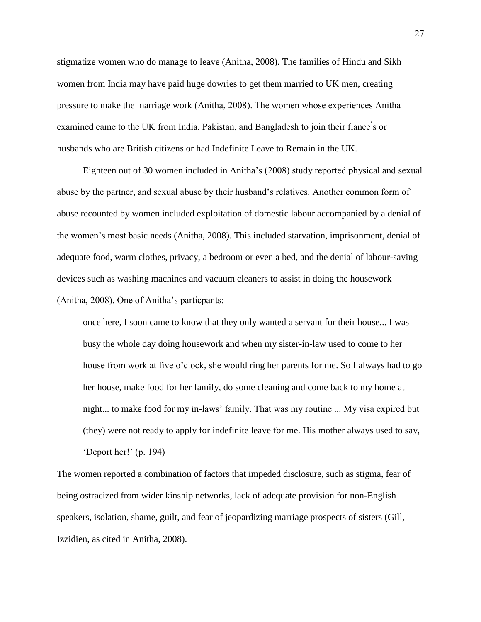stigmatize women who do manage to leave (Anitha, 2008). The families of Hindu and Sikh women from India may have paid huge dowries to get them married to UK men, creating pressure to make the marriage work (Anitha, 2008). The women whose experiences Anitha examined came to the UK from India, Pakistan, and Bangladesh to join their fiance ́s or husbands who are British citizens or had Indefinite Leave to Remain in the UK.

Eighteen out of 30 women included in Anitha's (2008) study reported physical and sexual abuse by the partner, and sexual abuse by their husband's relatives. Another common form of abuse recounted by women included exploitation of domestic labour accompanied by a denial of the women's most basic needs (Anitha, 2008). This included starvation, imprisonment, denial of adequate food, warm clothes, privacy, a bedroom or even a bed, and the denial of labour-saving devices such as washing machines and vacuum cleaners to assist in doing the housework (Anitha, 2008). One of Anitha's particpants:

once here, I soon came to know that they only wanted a servant for their house... I was busy the whole day doing housework and when my sister-in-law used to come to her house from work at five o'clock, she would ring her parents for me. So I always had to go her house, make food for her family, do some cleaning and come back to my home at night... to make food for my in-laws' family. That was my routine ... My visa expired but (they) were not ready to apply for indefinite leave for me. His mother always used to say, 'Deport her!' (p. 194)

The women reported a combination of factors that impeded disclosure, such as stigma, fear of being ostracized from wider kinship networks, lack of adequate provision for non-English speakers, isolation, shame, guilt, and fear of jeopardizing marriage prospects of sisters (Gill, Izzidien, as cited in Anitha, 2008).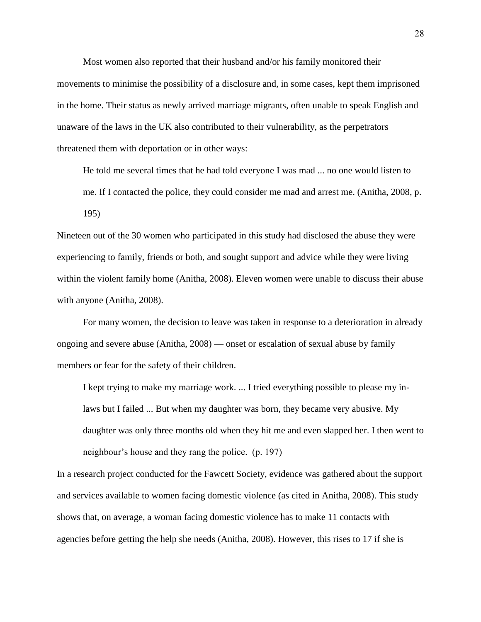Most women also reported that their husband and/or his family monitored their movements to minimise the possibility of a disclosure and, in some cases, kept them imprisoned in the home. Their status as newly arrived marriage migrants, often unable to speak English and unaware of the laws in the UK also contributed to their vulnerability, as the perpetrators threatened them with deportation or in other ways:

He told me several times that he had told everyone I was mad ... no one would listen to me. If I contacted the police, they could consider me mad and arrest me. (Anitha, 2008, p. 195)

Nineteen out of the 30 women who participated in this study had disclosed the abuse they were experiencing to family, friends or both, and sought support and advice while they were living within the violent family home (Anitha, 2008). Eleven women were unable to discuss their abuse with anyone (Anitha, 2008).

For many women, the decision to leave was taken in response to a deterioration in already ongoing and severe abuse (Anitha, 2008) — onset or escalation of sexual abuse by family members or fear for the safety of their children.

I kept trying to make my marriage work. ... I tried everything possible to please my inlaws but I failed ... But when my daughter was born, they became very abusive. My daughter was only three months old when they hit me and even slapped her. I then went to neighbour's house and they rang the police. (p. 197)

In a research project conducted for the Fawcett Society, evidence was gathered about the support and services available to women facing domestic violence (as cited in Anitha, 2008). This study shows that, on average, a woman facing domestic violence has to make 11 contacts with agencies before getting the help she needs (Anitha, 2008). However, this rises to 17 if she is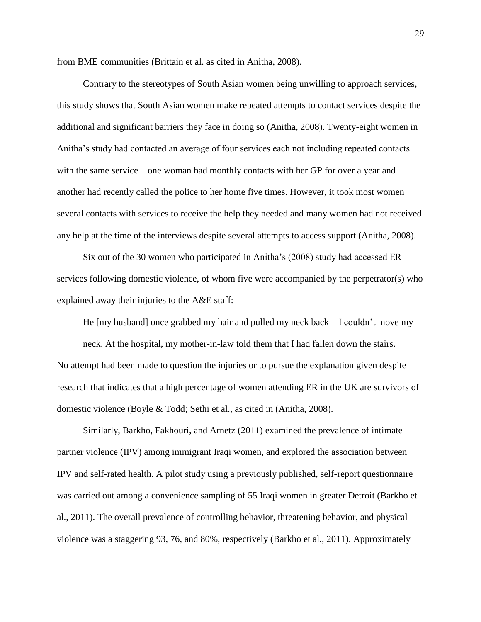from BME communities (Brittain et al. as cited in Anitha, 2008).

Contrary to the stereotypes of South Asian women being unwilling to approach services, this study shows that South Asian women make repeated attempts to contact services despite the additional and significant barriers they face in doing so (Anitha, 2008). Twenty-eight women in Anitha's study had contacted an average of four services each not including repeated contacts with the same service—one woman had monthly contacts with her GP for over a year and another had recently called the police to her home five times. However, it took most women several contacts with services to receive the help they needed and many women had not received any help at the time of the interviews despite several attempts to access support (Anitha, 2008).

Six out of the 30 women who participated in Anitha's (2008) study had accessed ER services following domestic violence, of whom five were accompanied by the perpetrator(s) who explained away their injuries to the A&E staff:

He [my husband] once grabbed my hair and pulled my neck back – I couldn't move my neck. At the hospital, my mother-in-law told them that I had fallen down the stairs. No attempt had been made to question the injuries or to pursue the explanation given despite research that indicates that a high percentage of women attending ER in the UK are survivors of domestic violence (Boyle & Todd; Sethi et al., as cited in (Anitha, 2008).

Similarly, Barkho, Fakhouri, and Arnetz (2011) examined the prevalence of intimate partner violence (IPV) among immigrant Iraqi women, and explored the association between IPV and self-rated health. A pilot study using a previously published, self-report questionnaire was carried out among a convenience sampling of 55 Iraqi women in greater Detroit (Barkho et al., 2011). The overall prevalence of controlling behavior, threatening behavior, and physical violence was a staggering 93, 76, and 80%, respectively (Barkho et al., 2011). Approximately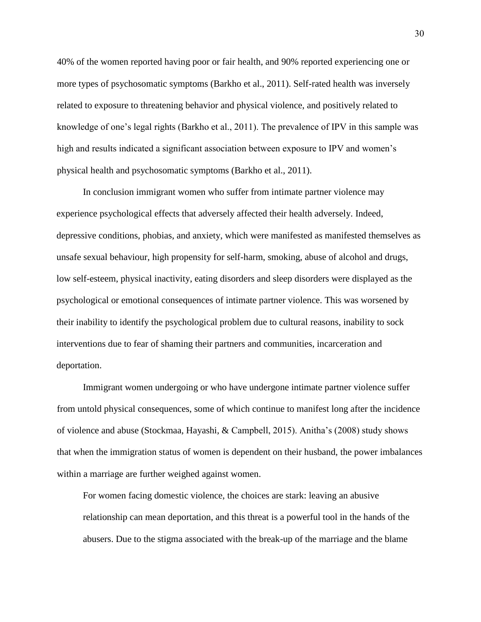40% of the women reported having poor or fair health, and 90% reported experiencing one or more types of psychosomatic symptoms (Barkho et al., 2011). Self-rated health was inversely related to exposure to threatening behavior and physical violence, and positively related to knowledge of one's legal rights (Barkho et al., 2011). The prevalence of IPV in this sample was high and results indicated a significant association between exposure to IPV and women's physical health and psychosomatic symptoms (Barkho et al., 2011).

In conclusion immigrant women who suffer from intimate partner violence may experience psychological effects that adversely affected their health adversely. Indeed, depressive conditions, phobias, and anxiety, which were manifested as manifested themselves as unsafe sexual behaviour, high propensity for self-harm, smoking, abuse of alcohol and drugs, low self-esteem, physical inactivity, eating disorders and sleep disorders were displayed as the psychological or emotional consequences of intimate partner violence. This was worsened by their inability to identify the psychological problem due to cultural reasons, inability to sock interventions due to fear of shaming their partners and communities, incarceration and deportation.

Immigrant women undergoing or who have undergone intimate partner violence suffer from untold physical consequences, some of which continue to manifest long after the incidence of violence and abuse (Stockmaa, Hayashi, & Campbell, 2015). Anitha's (2008) study shows that when the immigration status of women is dependent on their husband, the power imbalances within a marriage are further weighed against women.

For women facing domestic violence, the choices are stark: leaving an abusive relationship can mean deportation, and this threat is a powerful tool in the hands of the abusers. Due to the stigma associated with the break-up of the marriage and the blame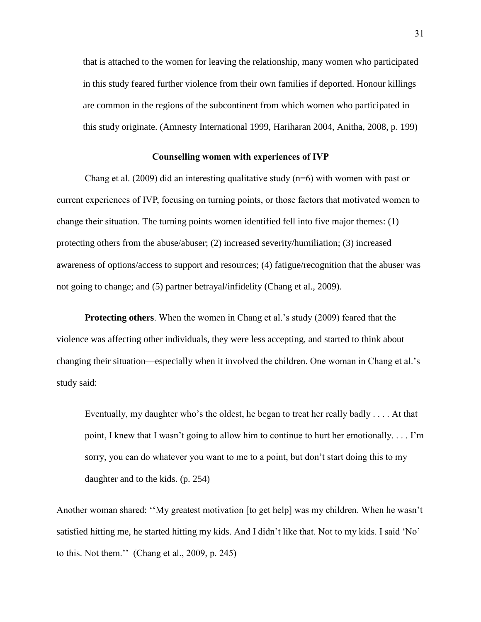that is attached to the women for leaving the relationship, many women who participated in this study feared further violence from their own families if deported. Honour killings are common in the regions of the subcontinent from which women who participated in this study originate. (Amnesty International 1999, Hariharan 2004, Anitha, 2008, p. 199)

#### **Counselling women with experiences of IVP**

Chang et al. (2009) did an interesting qualitative study ( $n=6$ ) with women with past or current experiences of IVP, focusing on turning points, or those factors that motivated women to change their situation. The turning points women identified fell into five major themes: (1) protecting others from the abuse/abuser; (2) increased severity/humiliation; (3) increased awareness of options/access to support and resources; (4) fatigue/recognition that the abuser was not going to change; and (5) partner betrayal/infidelity (Chang et al., 2009).

**Protecting others**. When the women in Chang et al.'s study (2009) feared that the violence was affecting other individuals, they were less accepting, and started to think about changing their situation—especially when it involved the children. One woman in Chang et al.'s study said:

Eventually, my daughter who's the oldest, he began to treat her really badly . . . . At that point, I knew that I wasn't going to allow him to continue to hurt her emotionally. . . . I'm sorry, you can do whatever you want to me to a point, but don't start doing this to my daughter and to the kids. (p. 254)

Another woman shared: ''My greatest motivation [to get help] was my children. When he wasn't satisfied hitting me, he started hitting my kids. And I didn't like that. Not to my kids. I said 'No' to this. Not them.'' (Chang et al., 2009, p. 245)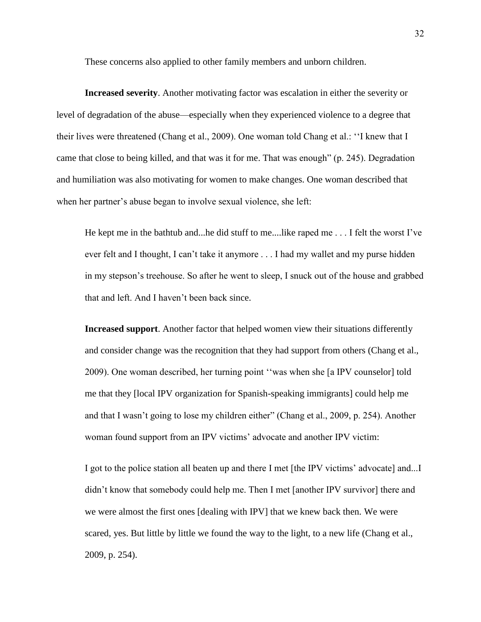These concerns also applied to other family members and unborn children.

**Increased severity**. Another motivating factor was escalation in either the severity or level of degradation of the abuse—especially when they experienced violence to a degree that their lives were threatened (Chang et al., 2009). One woman told Chang et al.: ''I knew that I came that close to being killed, and that was it for me. That was enough" (p. 245). Degradation and humiliation was also motivating for women to make changes. One woman described that when her partner's abuse began to involve sexual violence, she left:

He kept me in the bathtub and...he did stuff to me....like raped me . . . I felt the worst I've ever felt and I thought, I can't take it anymore . . . I had my wallet and my purse hidden in my stepson's treehouse. So after he went to sleep, I snuck out of the house and grabbed that and left. And I haven't been back since.

**Increased support**. Another factor that helped women view their situations differently and consider change was the recognition that they had support from others (Chang et al., 2009). One woman described, her turning point ''was when she [a IPV counselor] told me that they [local IPV organization for Spanish-speaking immigrants] could help me and that I wasn't going to lose my children either" (Chang et al., 2009, p. 254). Another woman found support from an IPV victims' advocate and another IPV victim:

I got to the police station all beaten up and there I met [the IPV victims' advocate] and...I didn't know that somebody could help me. Then I met [another IPV survivor] there and we were almost the first ones [dealing with IPV] that we knew back then. We were scared, yes. But little by little we found the way to the light, to a new life (Chang et al., 2009, p. 254).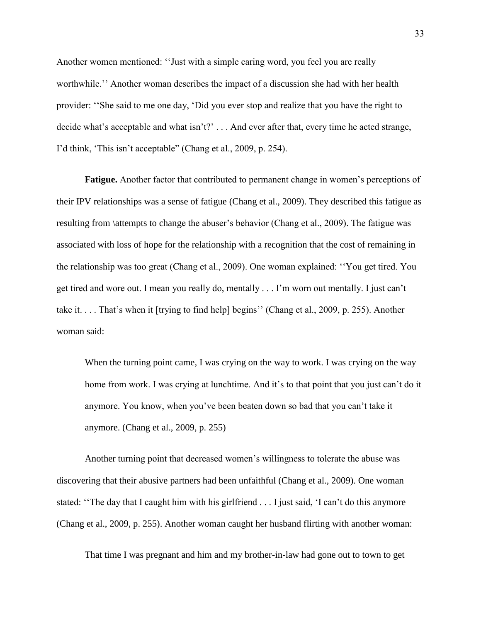Another women mentioned: ''Just with a simple caring word, you feel you are really worthwhile.'' Another woman describes the impact of a discussion she had with her health provider: ''She said to me one day, 'Did you ever stop and realize that you have the right to decide what's acceptable and what isn't?' . . . And ever after that, every time he acted strange, I'd think, 'This isn't acceptable" (Chang et al., 2009, p. 254).

**Fatigue.** Another factor that contributed to permanent change in women's perceptions of their IPV relationships was a sense of fatigue (Chang et al., 2009). They described this fatigue as resulting from \attempts to change the abuser's behavior (Chang et al., 2009). The fatigue was associated with loss of hope for the relationship with a recognition that the cost of remaining in the relationship was too great (Chang et al., 2009). One woman explained: ''You get tired. You get tired and wore out. I mean you really do, mentally . . . I'm worn out mentally. I just can't take it. . . . That's when it [trying to find help] begins'' (Chang et al., 2009, p. 255). Another woman said:

When the turning point came, I was crying on the way to work. I was crying on the way home from work. I was crying at lunchtime. And it's to that point that you just can't do it anymore. You know, when you've been beaten down so bad that you can't take it anymore. (Chang et al., 2009, p. 255)

Another turning point that decreased women's willingness to tolerate the abuse was discovering that their abusive partners had been unfaithful (Chang et al., 2009). One woman stated: ''The day that I caught him with his girlfriend . . . I just said, 'I can't do this anymore (Chang et al., 2009, p. 255). Another woman caught her husband flirting with another woman:

That time I was pregnant and him and my brother-in-law had gone out to town to get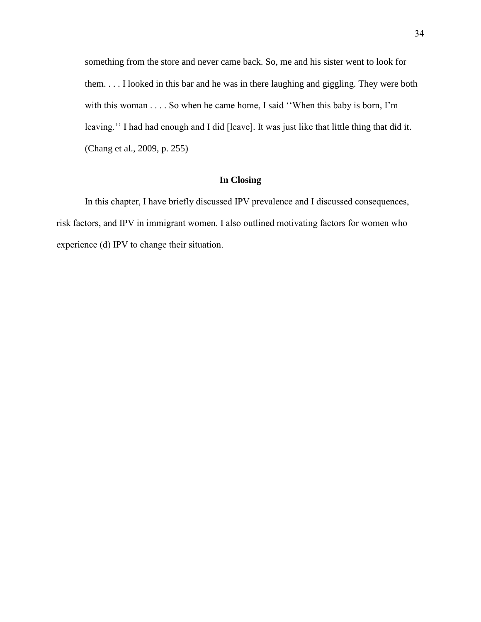something from the store and never came back. So, me and his sister went to look for them. . . . I looked in this bar and he was in there laughing and giggling. They were both with this woman . . . . So when he came home, I said ''When this baby is born, I'm leaving.'' I had had enough and I did [leave]. It was just like that little thing that did it. (Chang et al., 2009, p. 255)

# **In Closing**

In this chapter, I have briefly discussed IPV prevalence and I discussed consequences, risk factors, and IPV in immigrant women. I also outlined motivating factors for women who experience (d) IPV to change their situation.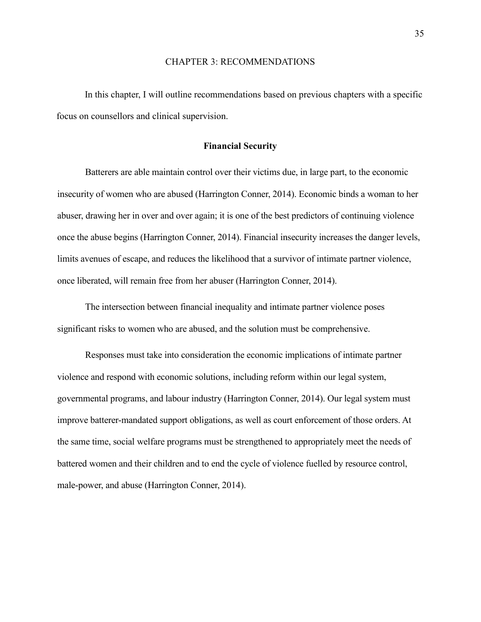# CHAPTER 3: RECOMMENDATIONS

In this chapter, I will outline recommendations based on previous chapters with a specific focus on counsellors and clinical supervision.

# **Financial Security**

Batterers are able maintain control over their victims due, in large part, to the economic insecurity of women who are abused (Harrington Conner, 2014). Economic binds a woman to her abuser, drawing her in over and over again; it is one of the best predictors of continuing violence once the abuse begins (Harrington Conner, 2014). Financial insecurity increases the danger levels, limits avenues of escape, and reduces the likelihood that a survivor of intimate partner violence, once liberated, will remain free from her abuser (Harrington Conner, 2014).

The intersection between financial inequality and intimate partner violence poses significant risks to women who are abused, and the solution must be comprehensive.

Responses must take into consideration the economic implications of intimate partner violence and respond with economic solutions, including reform within our legal system, governmental programs, and labour industry (Harrington Conner, 2014). Our legal system must improve batterer-mandated support obligations, as well as court enforcement of those orders. At the same time, social welfare programs must be strengthened to appropriately meet the needs of battered women and their children and to end the cycle of violence fuelled by resource control, male-power, and abuse (Harrington Conner, 2014).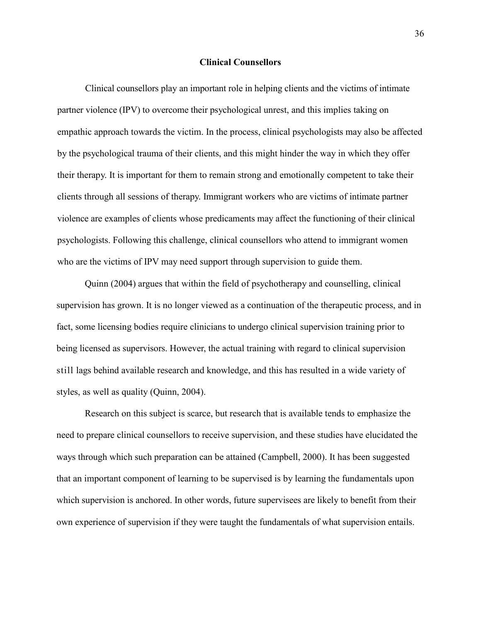#### **Clinical Counsellors**

Clinical counsellors play an important role in helping clients and the victims of intimate partner violence (IPV) to overcome their psychological unrest, and this implies taking on empathic approach towards the victim. In the process, clinical psychologists may also be affected by the psychological trauma of their clients, and this might hinder the way in which they offer their therapy. It is important for them to remain strong and emotionally competent to take their clients through all sessions of therapy. Immigrant workers who are victims of intimate partner violence are examples of clients whose predicaments may affect the functioning of their clinical psychologists. Following this challenge, clinical counsellors who attend to immigrant women who are the victims of IPV may need support through supervision to guide them.

Quinn (2004) argues that within the field of psychotherapy and counselling, clinical supervision has grown. It is no longer viewed as a continuation of the therapeutic process, and in fact, some licensing bodies require clinicians to undergo clinical supervision training prior to being licensed as supervisors. However, the actual training with regard to clinical supervision still lags behind available research and knowledge, and this has resulted in a wide variety of styles, as well as quality (Quinn, 2004).

Research on this subject is scarce, but research that is available tends to emphasize the need to prepare clinical counsellors to receive supervision, and these studies have elucidated the ways through which such preparation can be attained (Campbell, 2000). It has been suggested that an important component of learning to be supervised is by learning the fundamentals upon which supervision is anchored. In other words, future supervisees are likely to benefit from their own experience of supervision if they were taught the fundamentals of what supervision entails.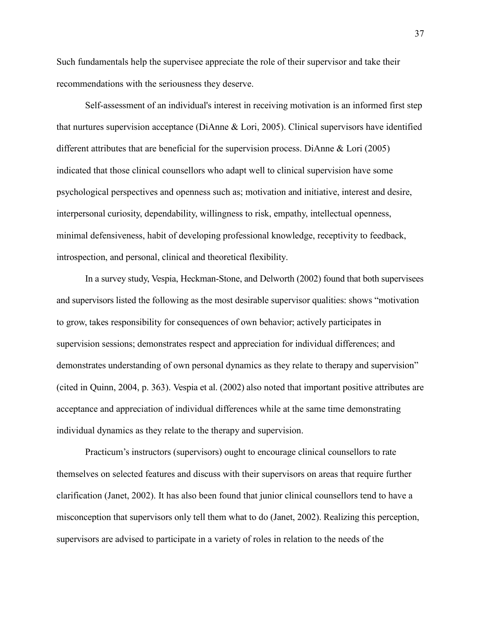Such fundamentals help the supervisee appreciate the role of their supervisor and take their recommendations with the seriousness they deserve.

Self-assessment of an individual's interest in receiving motivation is an informed first step that nurtures supervision acceptance (DiAnne & Lori, 2005). Clinical supervisors have identified different attributes that are beneficial for the supervision process. DiAnne & Lori (2005) indicated that those clinical counsellors who adapt well to clinical supervision have some psychological perspectives and openness such as; motivation and initiative, interest and desire, interpersonal curiosity, dependability, willingness to risk, empathy, intellectual openness, minimal defensiveness, habit of developing professional knowledge, receptivity to feedback, introspection, and personal, clinical and theoretical flexibility.

In a survey study, Vespia, Heckman-Stone, and Delworth (2002) found that both supervisees and supervisors listed the following as the most desirable supervisor qualities: shows "motivation to grow, takes responsibility for consequences of own behavior; actively participates in supervision sessions; demonstrates respect and appreciation for individual differences; and demonstrates understanding of own personal dynamics as they relate to therapy and supervision" (cited in Quinn, 2004, p. 363). Vespia et al. (2002) also noted that important positive attributes are acceptance and appreciation of individual differences while at the same time demonstrating individual dynamics as they relate to the therapy and supervision.

Practicum's instructors (supervisors) ought to encourage clinical counsellors to rate themselves on selected features and discuss with their supervisors on areas that require further clarification (Janet, 2002). It has also been found that junior clinical counsellors tend to have a misconception that supervisors only tell them what to do (Janet, 2002). Realizing this perception, supervisors are advised to participate in a variety of roles in relation to the needs of the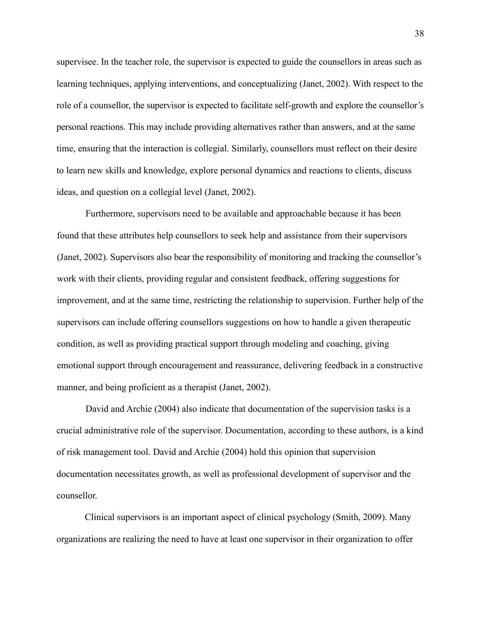supervisee. In the teacher role, the supervisor is expected to guide the counsellors in areas such as learning techniques, applying interventions, and conceptualizing (Janet, 2002). With respect to the role of a counsellor, the supervisor is expected to facilitate self-growth and explore the counsellor's personal reactions. This may include providing alternatives rather than answers, and at the same time, ensuring that the interaction is collegial. Similarly, counsellors must reflect on their desire to learn new skills and knowledge, explore personal dynamics and reactions to clients, discuss ideas, and question on a collegial level (Janet, 2002).

Furthermore, supervisors need to be available and approachable because it has been found that these attributes help counsellors to seek help and assistance from their supervisors (Janet, 2002). Supervisors also bear the responsibility of monitoring and tracking the counsellor's work with their clients, providing regular and consistent feedback, offering suggestions for improvement, and at the same time, restricting the relationship to supervision. Further help of the supervisors can include offering counsellors suggestions on how to handle a given therapeutic condition, as well as providing practical support through modeling and coaching, giving emotional support through encouragement and reassurance, delivering feedback in a constructive manner, and being proficient as a therapist (Janet, 2002).

David and Archie (2004) also indicate that documentation of the supervision tasks is a crucial administrative role of the supervisor. Documentation, according to these authors, is a kind of risk management tool. David and Archie (2004) hold this opinion that supervision documentation necessitates growth, as well as professional development of supervisor and the counsellor.

Clinical supervisors is an important aspect of clinical psychology (Smith, 2009). Many organizations are realizing the need to have at least one supervisor in their organization to offer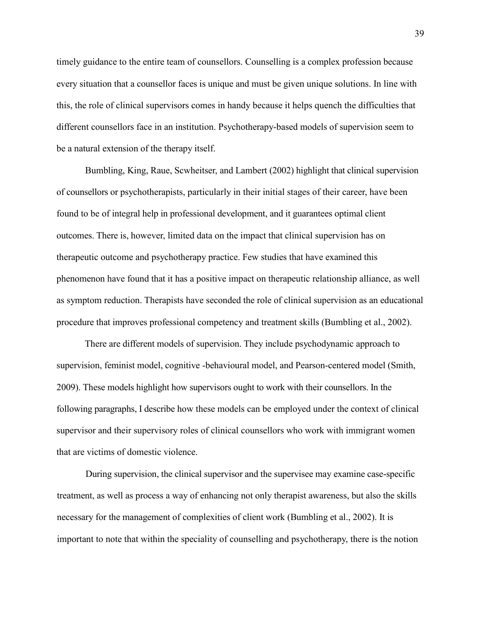timely guidance to the entire team of counsellors. Counselling is a complex profession because every situation that a counsellor faces is unique and must be given unique solutions. In line with this, the role of clinical supervisors comes in handy because it helps quench the difficulties that different counsellors face in an institution. Psychotherapy-based models of supervision seem to be a natural extension of the therapy itself.

Bumbling, King, Raue, Scwheitser, and Lambert (2002) highlight that clinical supervision of counsellors or psychotherapists, particularly in their initial stages of their career, have been found to be of integral help in professional development, and it guarantees optimal client outcomes. There is, however, limited data on the impact that clinical supervision has on therapeutic outcome and psychotherapy practice. Few studies that have examined this phenomenon have found that it has a positive impact on therapeutic relationship alliance, as well as symptom reduction. Therapists have seconded the role of clinical supervision as an educational procedure that improves professional competency and treatment skills (Bumbling et al., 2002).

There are different models of supervision. They include psychodynamic approach to supervision, feminist model, cognitive -behavioural model, and Pearson-centered model (Smith, 2009). These models highlight how supervisors ought to work with their counsellors. In the following paragraphs, I describe how these models can be employed under the context of clinical supervisor and their supervisory roles of clinical counsellors who work with immigrant women that are victims of domestic violence.

During supervision, the clinical supervisor and the supervisee may examine case-specific treatment, as well as process a way of enhancing not only therapist awareness, but also the skills necessary for the management of complexities of client work (Bumbling et al., 2002). It is important to note that within the speciality of counselling and psychotherapy, there is the notion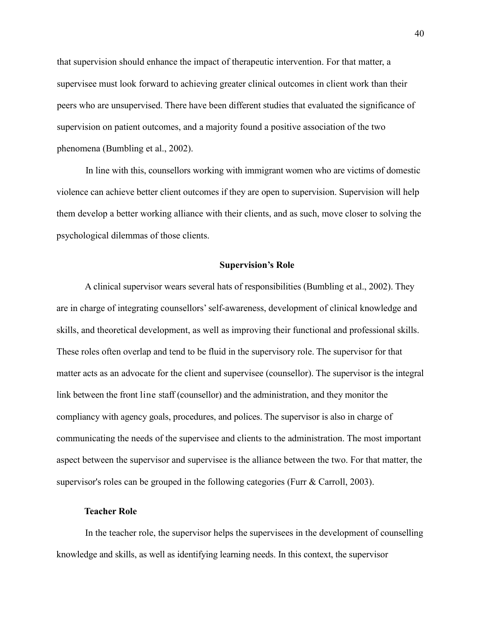that supervision should enhance the impact of therapeutic intervention. For that matter, a supervisee must look forward to achieving greater clinical outcomes in client work than their peers who are unsupervised. There have been different studies that evaluated the significance of supervision on patient outcomes, and a majority found a positive association of the two phenomena (Bumbling et al., 2002).

In line with this, counsellors working with immigrant women who are victims of domestic violence can achieve better client outcomes if they are open to supervision. Supervision will help them develop a better working alliance with their clients, and as such, move closer to solving the psychological dilemmas of those clients.

#### **Supervision's Role**

A clinical supervisor wears several hats of responsibilities (Bumbling et al., 2002). They are in charge of integrating counsellors' self-awareness, development of clinical knowledge and skills, and theoretical development, as well as improving their functional and professional skills. These roles often overlap and tend to be fluid in the supervisory role. The supervisor for that matter acts as an advocate for the client and supervisee (counsellor). The supervisor is the integral link between the front line staff (counsellor) and the administration, and they monitor the compliancy with agency goals, procedures, and polices. The supervisor is also in charge of communicating the needs of the supervisee and clients to the administration. The most important aspect between the supervisor and supervisee is the alliance between the two. For that matter, the supervisor's roles can be grouped in the following categories (Furr & Carroll, 2003).

#### **Teacher Role**

In the teacher role, the supervisor helps the supervisees in the development of counselling knowledge and skills, as well as identifying learning needs. In this context, the supervisor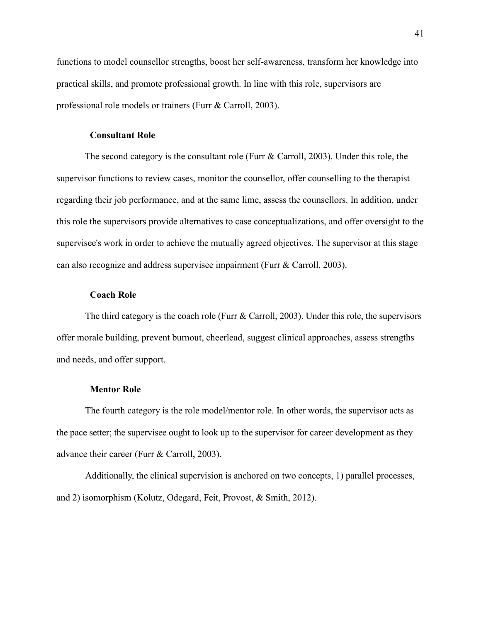functions to model counsellor strengths, boost her self-awareness, transform her knowledge into practical skills, and promote professional growth. In line with this role, supervisors are professional role models or trainers (Furr & Carroll, 2003).

# **Consultant Role**

The second category is the consultant role (Furr & Carroll, 2003). Under this role, the supervisor functions to review cases, monitor the counsellor, offer counselling to the therapist regarding their job performance, and at the same lime, assess the counsellors. In addition, under this role the supervisors provide alternatives to case conceptualizations, and offer oversight to the supervisee's work in order to achieve the mutually agreed objectives. The supervisor at this stage can also recognize and address supervisee impairment (Furr & Carroll, 2003).

# **Coach Role**

The third category is the coach role (Furr & Carroll, 2003). Under this role, the supervisors offer morale building, prevent burnout, cheerlead, suggest clinical approaches, assess strengths and needs, and offer support.

# **Mentor Role**

The fourth category is the role model/mentor role. In other words, the supervisor acts as the pace setter; the supervisee ought to look up to the supervisor for career development as they advance their career (Furr & Carroll, 2003).

Additionally, the clinical supervision is anchored on two concepts, 1) parallel processes, and 2) isomorphism (Kolutz, Odegard, Feit, Provost, & Smith, 2012).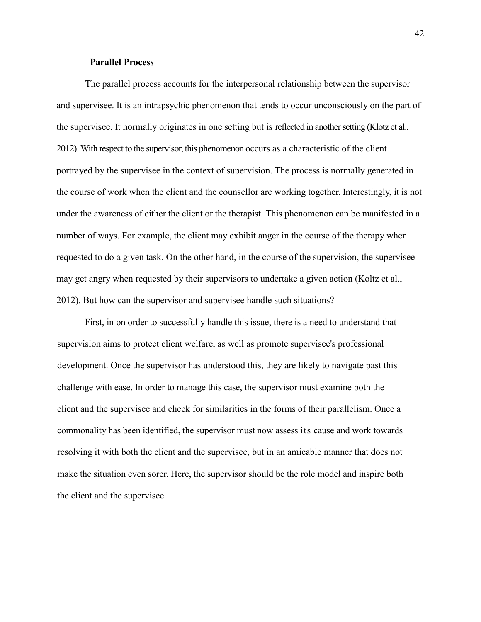# **Parallel Process**

The parallel process accounts for the interpersonal relationship between the supervisor and supervisee. It is an intrapsychic phenomenon that tends to occur unconsciously on the part of the supervisee. It normally originates in one setting but is reflected in another setting (Klotz et al., 2012). With respect to the supervisor, this phenomenon occurs as a characteristic of the client portrayed by the supervisee in the context of supervision. The process is normally generated in the course of work when the client and the counsellor are working together. Interestingly, it is not under the awareness of either the client or the therapist. This phenomenon can be manifested in a number of ways. For example, the client may exhibit anger in the course of the therapy when requested to do a given task. On the other hand, in the course of the supervision, the supervisee may get angry when requested by their supervisors to undertake a given action (Koltz et al., 2012). But how can the supervisor and supervisee handle such situations?

First, in on order to successfully handle this issue, there is a need to understand that supervision aims to protect client welfare, as well as promote supervisee's professional development. Once the supervisor has understood this, they are likely to navigate past this challenge with ease. In order to manage this case, the supervisor must examine both the client and the supervisee and check for similarities in the forms of their parallelism. Once a commonality has been identified, the supervisor must now assess its cause and work towards resolving it with both the client and the supervisee, but in an amicable manner that does not make the situation even sorer. Here, the supervisor should be the role model and inspire both the client and the supervisee.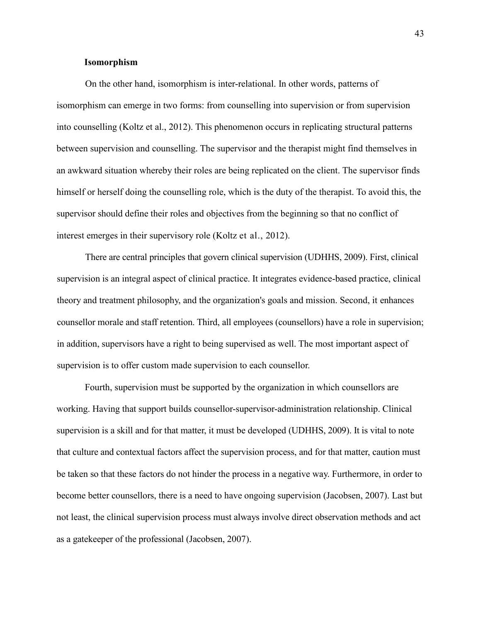# **Isomorphism**

On the other hand, isomorphism is inter-relational. In other words, patterns of isomorphism can emerge in two forms: from counselling into supervision or from supervision into counselling (Koltz et al., 2012). This phenomenon occurs in replicating structural patterns between supervision and counselling. The supervisor and the therapist might find themselves in an awkward situation whereby their roles are being replicated on the client. The supervisor finds himself or herself doing the counselling role, which is the duty of the therapist. To avoid this, the supervisor should define their roles and objectives from the beginning so that no conflict of interest emerges in their supervisory role (Koltz et al., 2012).

There are central principles that govern clinical supervision (UDHHS, 2009). First, clinical supervision is an integral aspect of clinical practice. It integrates evidence-based practice, clinical theory and treatment philosophy, and the organization's goals and mission. Second, it enhances counsellor morale and staff retention. Third, all employees (counsellors) have a role in supervision; in addition, supervisors have a right to being supervised as well. The most important aspect of supervision is to offer custom made supervision to each counsellor.

Fourth, supervision must be supported by the organization in which counsellors are working. Having that support builds counsellor-supervisor-administration relationship. Clinical supervision is a skill and for that matter, it must be developed (UDHHS, 2009). It is vital to note that culture and contextual factors affect the supervision process, and for that matter, caution must be taken so that these factors do not hinder the process in a negative way. Furthermore, in order to become better counsellors, there is a need to have ongoing supervision (Jacobsen, 2007). Last but not least, the clinical supervision process must always involve direct observation methods and act as a gatekeeper of the professional (Jacobsen, 2007).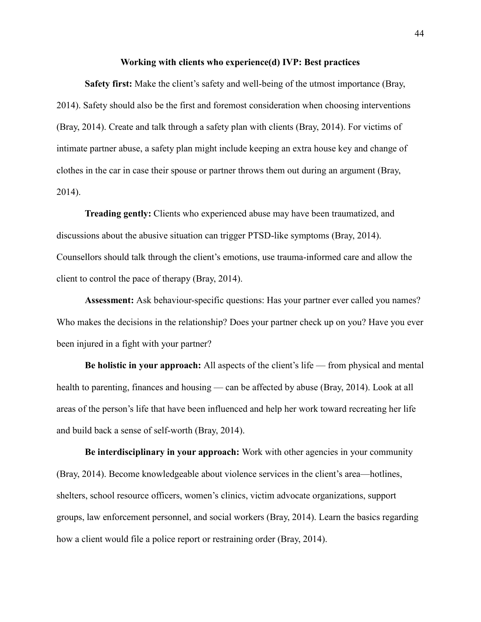#### **Working with clients who experience(d) IVP: Best practices**

**Safety first:** Make the client's safety and well-being of the utmost importance (Bray, 2014). Safety should also be the first and foremost consideration when choosing interventions (Bray, 2014). Create and talk through a safety plan with clients (Bray, 2014). For victims of intimate partner abuse, a safety plan might include keeping an extra house key and change of clothes in the car in case their spouse or partner throws them out during an argument (Bray, 2014).

**Treading gently:** Clients who experienced abuse may have been traumatized, and discussions about the abusive situation can trigger PTSD-like symptoms (Bray, 2014). Counsellors should talk through the client's emotions, use trauma-informed care and allow the client to control the pace of therapy (Bray, 2014).

**Assessment:** Ask behaviour-specific questions: Has your partner ever called you names? Who makes the decisions in the relationship? Does your partner check up on you? Have you ever been injured in a fight with your partner?

**Be holistic in your approach:** All aspects of the client's life — from physical and mental health to parenting, finances and housing — can be affected by abuse (Bray, 2014). Look at all areas of the person's life that have been influenced and help her work toward recreating her life and build back a sense of self-worth (Bray, 2014).

**Be interdisciplinary in your approach:** Work with other agencies in your community (Bray, 2014). Become knowledgeable about violence services in the client's area—hotlines, shelters, school resource officers, women's clinics, victim advocate organizations, support groups, law enforcement personnel, and social workers (Bray, 2014). Learn the basics regarding how a client would file a police report or restraining order (Bray, 2014).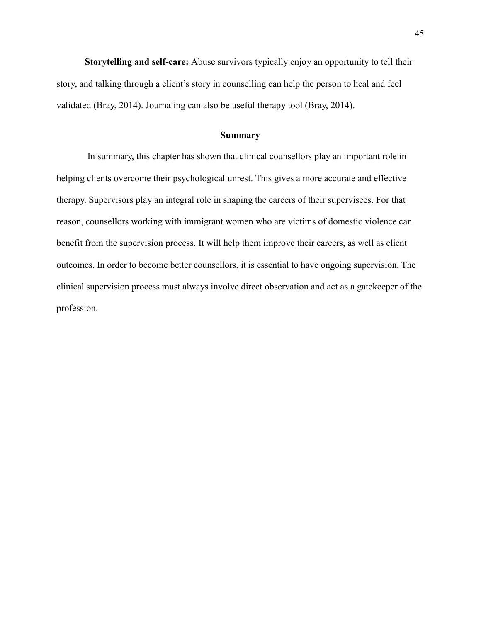**Storytelling and self-care:** Abuse survivors typically enjoy an opportunity to tell their story, and talking through a client's story in counselling can help the person to heal and feel validated (Bray, 2014). Journaling can also be useful therapy tool (Bray, 2014).

#### **Summary**

In summary, this chapter has shown that clinical counsellors play an important role in helping clients overcome their psychological unrest. This gives a more accurate and effective therapy. Supervisors play an integral role in shaping the careers of their supervisees. For that reason, counsellors working with immigrant women who are victims of domestic violence can benefit from the supervision process. It will help them improve their careers, as well as client outcomes. In order to become better counsellors, it is essential to have ongoing supervision. The clinical supervision process must always involve direct observation and act as a gatekeeper of the profession.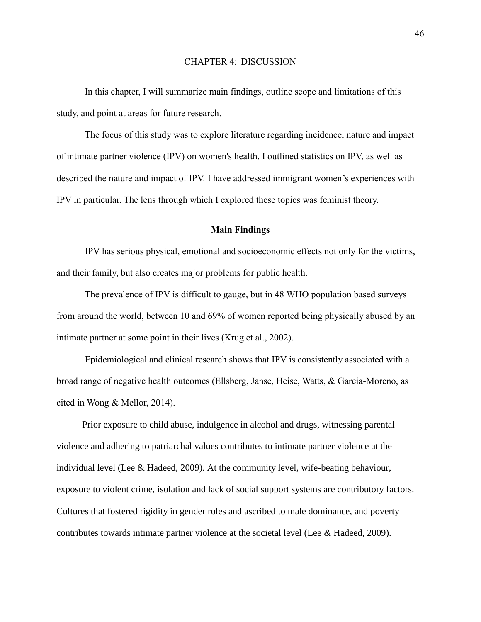# CHAPTER 4: DISCUSSION

In this chapter, I will summarize main findings, outline scope and limitations of this study, and point at areas for future research.

The focus of this study was to explore literature regarding incidence, nature and impact of intimate partner violence (IPV) on women's health. I outlined statistics on IPV, as well as described the nature and impact of IPV. I have addressed immigrant women's experiences with IPV in particular. The lens through which I explored these topics was feminist theory.

# **Main Findings**

IPV has serious physical, emotional and socioeconomic effects not only for the victims, and their family, but also creates major problems for public health.

The prevalence of IPV is difficult to gauge, but in 48 WHO population based surveys from around the world, between 10 and 69% of women reported being physically abused by an intimate partner at some point in their lives (Krug et al., 2002).

Epidemiological and clinical research shows that IPV is consistently associated with a broad range of negative health outcomes (Ellsberg, Janse, Heise, Watts, & Garcia-Moreno, as cited in Wong & Mellor, 2014).

Prior exposure to child abuse, indulgence in alcohol and drugs, witnessing parental violence and adhering to patriarchal values contributes to intimate partner violence at the individual level (Lee & Hadeed, 2009). At the community level, wife-beating behaviour, exposure to violent crime, isolation and lack of social support systems are contributory factors. Cultures that fostered rigidity in gender roles and ascribed to male dominance, and poverty contributes towards intimate partner violence at the societal level (Lee *&* Hadeed, 2009).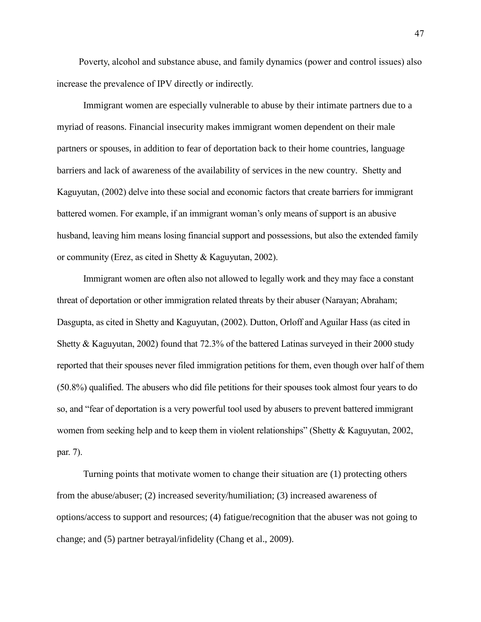Poverty, alcohol and substance abuse, and family dynamics (power and control issues) also increase the prevalence of IPV directly or indirectly.

Immigrant women are especially vulnerable to abuse by their intimate partners due to a myriad of reasons. Financial insecurity makes immigrant women dependent on their male partners or spouses, in addition to fear of deportation back to their home countries, language barriers and lack of awareness of the availability of services in the new country. Shetty and Kaguyutan, (2002) delve into these social and economic factors that create barriers for immigrant battered women. For example, if an immigrant woman's only means of support is an abusive husband, leaving him means losing financial support and possessions, but also the extended family or community (Erez, as cited in Shetty & Kaguyutan, 2002).

Immigrant women are often also not allowed to legally work and they may face a constant threat of deportation or other immigration related threats by their abuser (Narayan; Abraham; Dasgupta, as cited in Shetty and Kaguyutan, (2002). Dutton, Orloff and Aguilar Hass (as cited in Shetty & Kaguyutan, 2002) found that 72.3% of the battered Latinas surveyed in their 2000 study reported that their spouses never filed immigration petitions for them, even though over half of them (50.8%) qualified. The abusers who did file petitions for their spouses took almost four years to do so, and "fear of deportation is a very powerful tool used by abusers to prevent battered immigrant women from seeking help and to keep them in violent relationships" (Shetty & Kaguyutan, 2002, par. 7).

Turning points that motivate women to change their situation are (1) protecting others from the abuse/abuser; (2) increased severity/humiliation; (3) increased awareness of options/access to support and resources; (4) fatigue/recognition that the abuser was not going to change; and (5) partner betrayal/infidelity (Chang et al., 2009).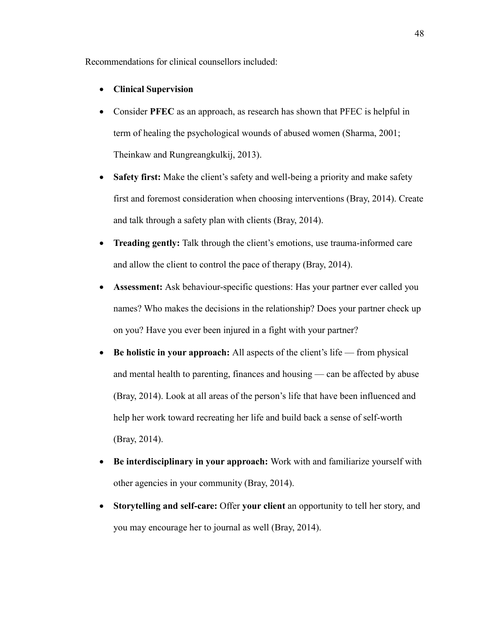Recommendations for clinical counsellors included:

- **Clinical Supervision**
- Consider **PFEC** as an approach, as research has shown that PFEC is helpful in term of healing the psychological wounds of abused women (Sharma, 2001; Theinkaw and Rungreangkulkij, 2013).
- Safety first: Make the client's safety and well-being a priority and make safety first and foremost consideration when choosing interventions (Bray, 2014). Create and talk through a safety plan with clients (Bray, 2014).
- **Treading gently:** Talk through the client's emotions, use trauma-informed care and allow the client to control the pace of therapy (Bray, 2014).
- **Assessment:** Ask behaviour-specific questions: Has your partner ever called you names? Who makes the decisions in the relationship? Does your partner check up on you? Have you ever been injured in a fight with your partner?
- **Be holistic in your approach:** All aspects of the client's life from physical and mental health to parenting, finances and housing — can be affected by abuse (Bray, 2014). Look at all areas of the person's life that have been influenced and help her work toward recreating her life and build back a sense of self-worth (Bray, 2014).
- **Be interdisciplinary in your approach:** Work with and familiarize yourself with other agencies in your community (Bray, 2014).
- **Storytelling and self-care:** Offer **your client** an opportunity to tell her story, and you may encourage her to journal as well (Bray, 2014).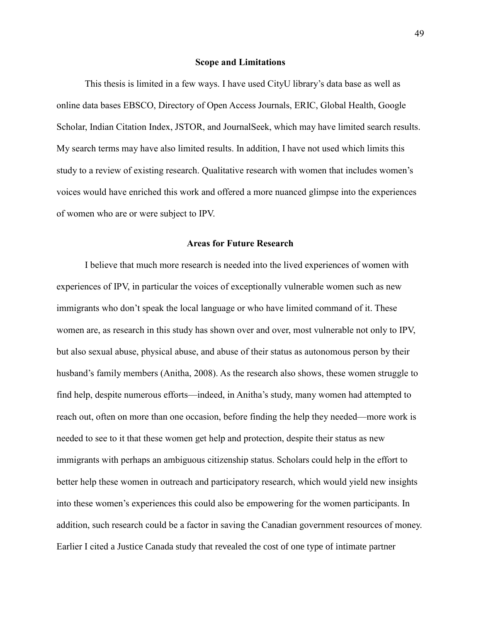#### **Scope and Limitations**

This thesis is limited in a few ways. I have used CityU library's data base as well as online data bases EBSCO, Directory of Open Access Journals, ERIC, Global Health, Google Scholar, Indian Citation Index, JSTOR, and JournalSeek, which may have limited search results. My search terms may have also limited results. In addition, I have not used which limits this study to a review of existing research. Qualitative research with women that includes women's voices would have enriched this work and offered a more nuanced glimpse into the experiences of women who are or were subject to IPV.

# **Areas for Future Research**

I believe that much more research is needed into the lived experiences of women with experiences of IPV, in particular the voices of exceptionally vulnerable women such as new immigrants who don't speak the local language or who have limited command of it. These women are, as research in this study has shown over and over, most vulnerable not only to IPV, but also sexual abuse, physical abuse, and abuse of their status as autonomous person by their husband's family members (Anitha, 2008). As the research also shows, these women struggle to find help, despite numerous efforts—indeed, in Anitha's study, many women had attempted to reach out, often on more than one occasion, before finding the help they needed—more work is needed to see to it that these women get help and protection, despite their status as new immigrants with perhaps an ambiguous citizenship status. Scholars could help in the effort to better help these women in outreach and participatory research, which would yield new insights into these women's experiences this could also be empowering for the women participants. In addition, such research could be a factor in saving the Canadian government resources of money. Earlier I cited a Justice Canada study that revealed the cost of one type of intimate partner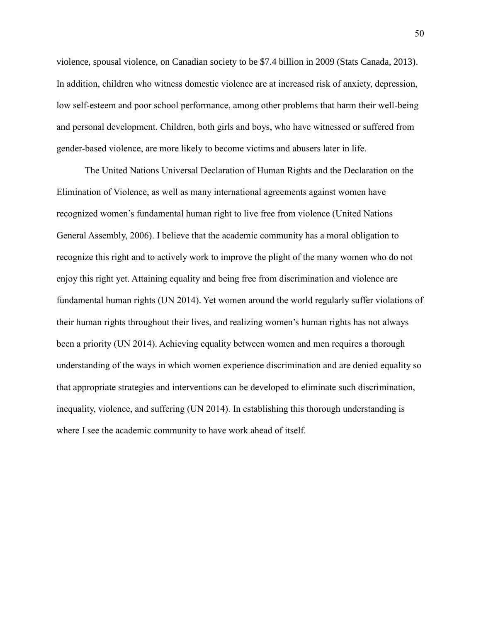violence, spousal violence, on Canadian society to be \$7.4 billion in 2009 (Stats Canada, 2013). In addition, children who witness domestic violence are at increased risk of anxiety, depression, low self-esteem and poor school performance, among other problems that harm their well-being and personal development. Children, both girls and boys, who have witnessed or suffered from gender-based violence, are more likely to become victims and abusers later in life.

The United Nations Universal Declaration of Human Rights and the Declaration on the Elimination of Violence, as well as many international agreements against women have recognized women's fundamental human right to live free from violence (United Nations General Assembly, 2006). I believe that the academic community has a moral obligation to recognize this right and to actively work to improve the plight of the many women who do not enjoy this right yet. Attaining equality and being free from discrimination and violence are fundamental human rights (UN 2014). Yet women around the world regularly suffer violations of their human rights throughout their lives, and realizing women's human rights has not always been a priority (UN 2014). Achieving equality between women and men requires a thorough understanding of the ways in which women experience discrimination and are denied equality so that appropriate strategies and interventions can be developed to eliminate such discrimination, inequality, violence, and suffering (UN 2014). In establishing this thorough understanding is where I see the academic community to have work ahead of itself.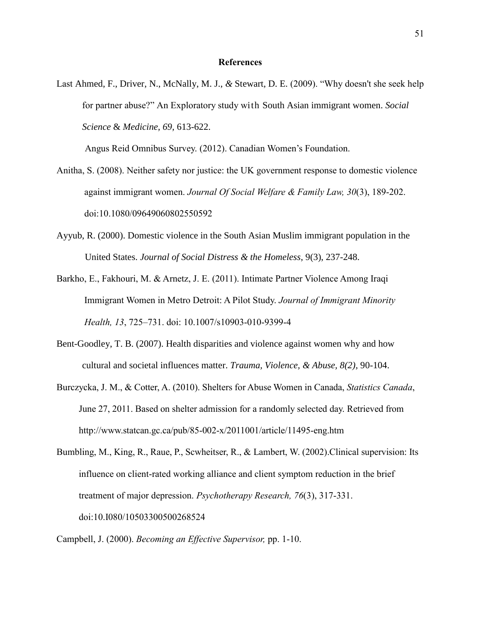#### **References**

Last Ahmed, F., Driver, N., McNally, M. J., *&* Stewart, D. E. (2009). "Why doesn't she seek help for partner abuse?" An Exploratory study with South Asian immigrant women. *Social Science* & *Medicine, 69,* 613-622.

Angus Reid Omnibus Survey. (2012). Canadian Women's Foundation.

- Anitha, S. (2008). Neither safety nor justice: the UK government response to domestic violence against immigrant women. *Journal Of Social Welfare & Family Law, 30*(3), 189-202. doi:10.1080/09649060802550592
- Ayyub, R. (2000). Domestic violence in the South Asian Muslim immigrant population in the United States. *Journal of Social Distress & the Homeless*, 9(3), 237-248.
- Barkho, E., Fakhouri, M. & Arnetz, J. E. (2011). Intimate Partner Violence Among Iraqi Immigrant Women in Metro Detroit: A Pilot Study. *Journal of Immigrant Minority Health, 13*, 725–731. doi: 10.1007/s10903-010-9399-4
- Bent-Goodley, T. B. (2007). Health disparities and violence against women why and how cultural and societal influences matter. *Trauma, Violence, & Abuse, 8(2),* 90-104.
- Burczycka, J. M., & Cotter, A. (2010). Shelters for Abuse Women in Canada, *Statistics Canada*, June 27, 2011. Based on shelter admission for a randomly selected day. Retrieved from http://www.statcan.gc.ca/pub/85-002-x/2011001/article/11495-eng.htm
- Bumbling, M., King, R., Raue, P., Scwheitser, R., & Lambert, W. (2002).Clinical supervision: Its influence on client-rated working alliance and client symptom reduction in the brief treatment of major depression. *Psychotherapy Research, 76*(3), 317-331. doi:10.I080/10503300500268524

Campbell, J. (2000). *Becoming an Effective Supervisor,* pp. 1-10.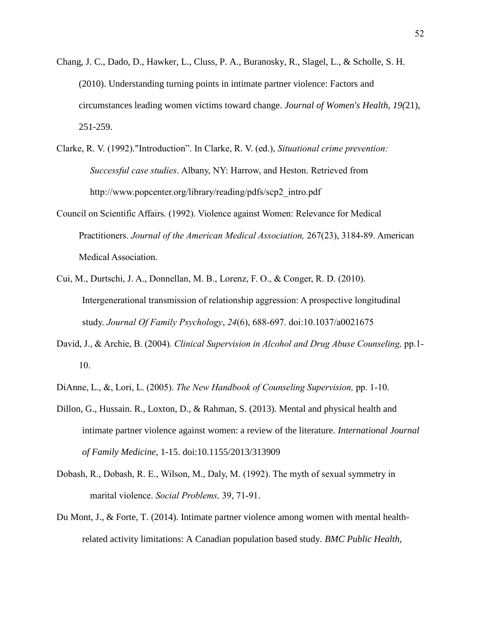- Chang, J. C., Dado, D., Hawker, L., Cluss, P. A., Buranosky, R., Slagel, L., & Scholle, S. H. (2010). Understanding turning points in intimate partner violence: Factors and circumstances leading women victims toward change. *Journal of Women's Health, 19(*21), 251-259.
- Clarke, R. V. (1992)."Introduction". In Clarke, R. V. (ed.), *Situational crime prevention: Successful case studies*. Albany, NY: Harrow, and Heston. Retrieved from http://www.popcenter.org/library/reading/pdfs/scp2\_intro.pdf
- Council on Scientific Affairs. (1992). Violence against Women: Relevance for Medical Practitioners. *Journal of the American Medical Association,* 267(23), 3184-89. American Medical Association.
- Cui, M., Durtschi, J. A., Donnellan, M. B., Lorenz, F. O., & Conger, R. D. (2010). Intergenerational transmission of relationship aggression: A prospective longitudinal study. *Journal Of Family Psychology*, *24*(6), 688-697. doi:10.1037/a0021675
- David, J., & Archie, B. (2004). *Clinical Supervision in Alcohol and Drug Abuse Counseling,* pp.1- 10.
- DiAnne, L., &, Lori, L. (2005). *The New Handbook of Counseling Supervision,* pp. 1-10.
- Dillon, G., Hussain. R., Loxton, D., & Rahman, S. (2013). Mental and physical health and intimate partner violence against women: a review of the literature. *International Journal of Family Medicine,* 1-15. doi:10.1155/2013/313909
- Dobash, R., Dobash, R. E., Wilson, M., Daly, M. (1992). The myth of sexual symmetry in marital violence. *Social Problems,* 39, 71-91.
- Du Mont, J., & Forte, T. (2014). Intimate partner violence among women with mental healthrelated activity limitations: A Canadian population based study. *BMC Public Health,*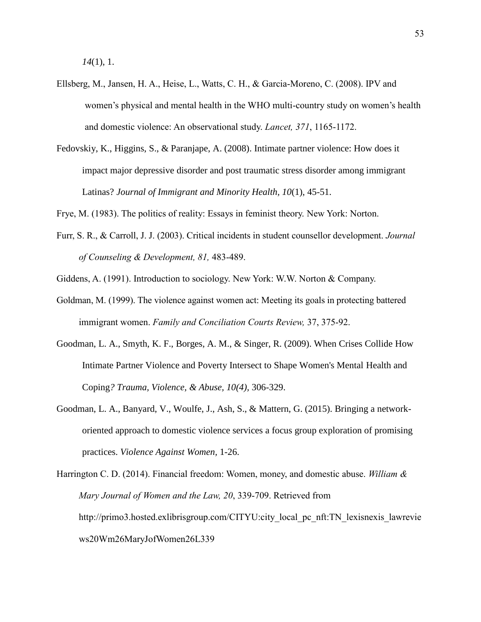*14*(1), 1.

- Ellsberg, M., Jansen, H. A., Heise, L., Watts, C. H., & Garcia-Moreno, C. (2008). IPV and women's physical and mental health in the WHO multi-country study on women's health and domestic violence: An observational study. *Lancet, 371*, 1165-1172.
- Fedovskiy, K., Higgins, S., & Paranjape, A. (2008). Intimate partner violence: How does it impact major depressive disorder and post traumatic stress disorder among immigrant Latinas? *Journal of Immigrant and Minority Health, 10*(1), 45-51.

Frye, M. (1983). The politics of reality: Essays in feminist theory. New York: Norton.

- Furr, S. R., & Carroll, J. J. (2003). Critical incidents in student counsellor development. *Journal of Counseling & Development, 81,* 483-489.
- Giddens, A. (1991). Introduction to sociology. New York: W.W. Norton & Company.
- Goldman, M. (1999). The violence against women act: Meeting its goals in protecting battered immigrant women. *Family and Conciliation Courts Review,* 37, 375-92.
- Goodman, L. A., Smyth, K. F., Borges, A. M., & Singer, R. (2009). When Crises Collide How Intimate Partner Violence and Poverty Intersect to Shape Women's Mental Health and Coping*? Trauma, Violence, & Abuse, 10(4),* 306-329.
- Goodman, L. A., Banyard, V., Woulfe, J., Ash, S., & Mattern, G. (2015). Bringing a networkoriented approach to domestic violence services a focus group exploration of promising practices. *Violence Against Women,* 1-26.

Harrington C. D. (2014). Financial freedom: Women, money, and domestic abuse. *William & Mary Journal of Women and the Law, 20*, 339-709. Retrieved from http://primo3.hosted.exlibrisgroup.com/CITYU:city\_local\_pc\_nft:TN\_lexisnexis\_lawrevie ws20Wm26MaryJofWomen26L339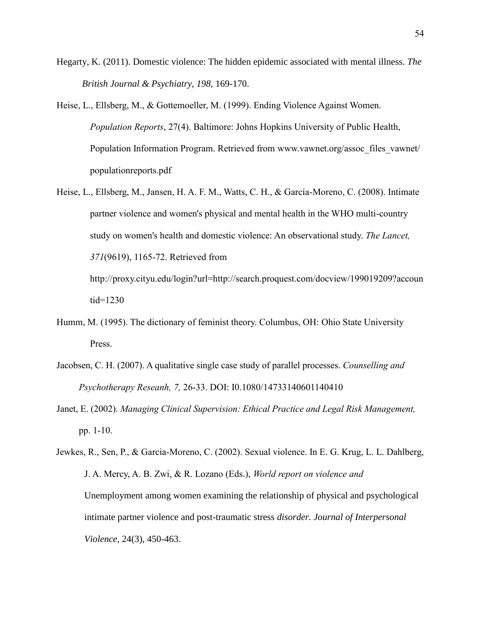- Hegarty, K. (2011). Domestic violence: The hidden epidemic associated with mental illness. *The British Journal & Psychiatry, 198,* 169-170.
- Heise, L., Ellsberg, M., & Gottemoeller, M. (1999). Ending Violence Against Women. *Population Reports*, 27(4). Baltimore: Johns Hopkins University of Public Health, Population Information Program. Retrieved from www.vawnet.org/assoc\_files\_vawnet/ populationreports.pdf
- Heise, L., Ellsberg, M., Jansen, H. A. F. M., Watts, C. H., & García-Moreno, C. (2008). Intimate partner violence and women's physical and mental health in the WHO multi-country study on women's health and domestic violence: An observational study. *The Lancet, 371*(9619), 1165-72. Retrieved from http://proxy.cityu.edu/login?url=http://search.proquest.com/docview/199019209?accoun

tid=1230

- Humm, M. (1995). The dictionary of feminist theory. Columbus, OH: Ohio State University Press.
- Jacobsen, C. H. (2007). A qualitative single case study of parallel processes. *Counselling and Psychotherapy Reseanh, 7,* 26-33. DOI: I0.1080/14733140601140410
- Janet, E. (2002). *Managing Clinical Supervision: Ethical Practice and Legal Risk Management,* pp. 1-10.

Jewkes, R., Sen, P., & Garcia-Moreno, C. (2002). Sexual violence. In E. G. Krug, L. L. Dahlberg, J. A. Mercy, A. B. Zwi, & R. Lozano (Eds.), *World report on violence and*  Unemployment among women examining the relationship of physical and psychological intimate partner violence and post-traumatic stress *disorder. Journal of Interpersonal Violence,* 24(3), 450-463.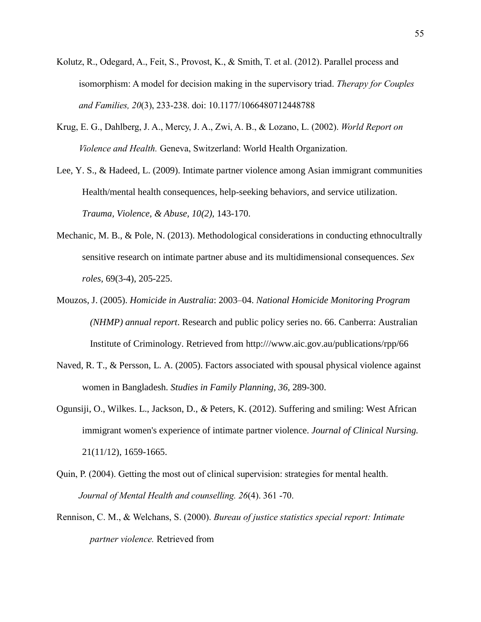- Kolutz, R., Odegard, A., Feit, S., Provost, K., & Smith, T. et al. (2012). Parallel process and isomorphism: A model for decision making in the supervisory triad. *Therapy for Couples and Families, 20*(3), 233-238. doi: 10.1177/1066480712448788
- Krug, E. G., Dahlberg, J. A., Mercy, J. A., Zwi, A. B., & Lozano, L. (2002). *World Report on Violence and Health.* Geneva, Switzerland: World Health Organization.
- Lee, Y. S., & Hadeed, L. (2009). Intimate partner violence among Asian immigrant communities Health/mental health consequences, help-seeking behaviors, and service utilization. *Trauma, Violence, & Abuse, 10(2),* 143-170.
- Mechanic, M. B., & Pole, N. (2013). Methodological considerations in conducting ethnocultrally sensitive research on intimate partner abuse and its multidimensional consequences. *Sex roles,* 69(3-4), 205-225.
- Mouzos, J. (2005). *Homicide in Australia*: 2003–04. *National Homicide Monitoring Program (NHMP) annual report*. Research and public policy series no. 66. Canberra: Australian Institute of Criminology. Retrieved from http:///www.aic.gov.au/publications/rpp/66
- Naved, R. T., & Persson, L. A. (2005). Factors associated with spousal physical violence against women in Bangladesh. *Studies in Family Planning, 36,* 289-300.
- Ogunsiji, O., Wilkes. L., Jackson, D., *&* Peters, K. (2012). Suffering and smiling: West African immigrant women's experience of intimate partner violence. *Journal of Clinical Nursing.*  21(11/12), 1659-1665.
- Quin, P. (2004). Getting the most out of clinical supervision: strategies for mental health. *Journal of Mental Health and counselling. 26*(4). 361 -70.
- Rennison, C. M., & Welchans, S. (2000). *Bureau of justice statistics special report: Intimate partner violence.* Retrieved from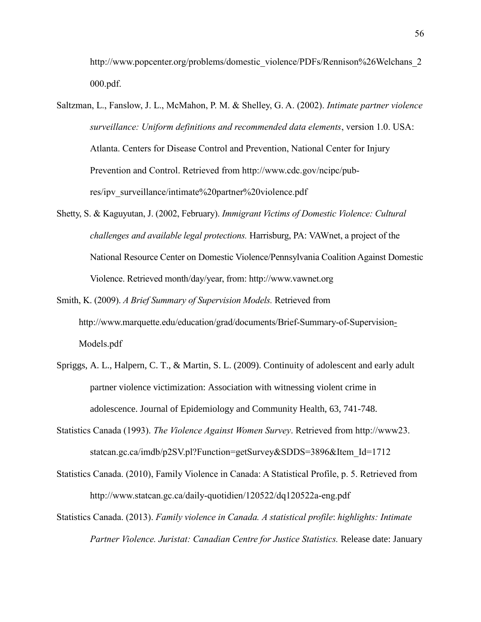http://www.popcenter.org/problems/domestic\_violence/PDFs/Rennison%26Welchans\_2 000.pdf.

- Saltzman, L., Fanslow, J. L., McMahon, P. M. & Shelley, G. A. (2002). *Intimate partner violence surveillance: Uniform definitions and recommended data elements*, version 1.0. USA: Atlanta. Centers for Disease Control and Prevention, National Center for Injury Prevention and Control. Retrieved from http://www.cdc.gov/ncipc/pubres/ipv\_surveillance/intimate%20partner%20violence.pdf
- Shetty, S. & Kaguyutan, J. (2002, February). *Immigrant Victims of Domestic Violence: Cultural challenges and available legal protections.* Harrisburg, PA: VAWnet, a project of the National Resource Center on Domestic Violence/Pennsylvania Coalition Against Domestic Violence. Retrieved month/day/year, from: http://www.vawnet.org
- Smith, K. (2009). *A Brief Summary of Supervision Models.* Retrieved from http://www.marquette.edu/education/grad/documents/Brief-Summary-of-Supervision-Models.pdf
- Spriggs, A. L., Halpern, C. T., & Martin, S. L. (2009). Continuity of adolescent and early adult partner violence victimization: Association with witnessing violent crime in adolescence. Journal of Epidemiology and Community Health, 63, 741-748.
- Statistics Canada (1993). *The Violence Against Women Survey*. Retrieved from http://www23. statcan.gc.ca/imdb/p2SV.pl?Function=getSurvey&SDDS=3896&Item\_Id=1712
- Statistics Canada. (2010), Family Violence in Canada: A Statistical Profile, p. 5. Retrieved from http://www.statcan.gc.ca/daily-quotidien/120522/dq120522a-eng.pdf
- Statistics Canada. (2013). *Family violence in Canada. A statistical profile*: *highlights: Intimate Partner Violence. Juristat: Canadian Centre for Justice Statistics.* Release date: January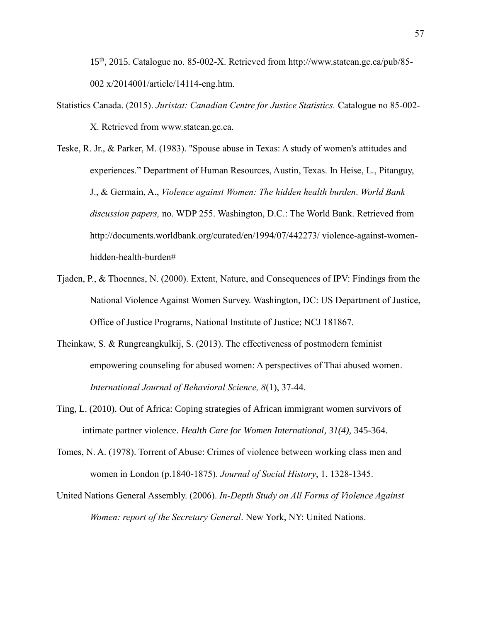15th, 2015. Catalogue no. 85-002-X. Retrieved from [http://www.statcan.gc.ca/pub/85-](http://www.statcan.gc.ca/pub/85-002) [002](http://www.statcan.gc.ca/pub/85-002) x/2014001/article/14114-eng.htm.

- Statistics Canada. (2015). *Juristat: Canadian Centre for Justice Statistics.* Catalogue no 85-002- X. Retrieved from www.statcan.gc.ca.
- Teske, R. Jr., & Parker, M. (1983). "Spouse abuse in Texas: A study of women's attitudes and experiences." Department of Human Resources, Austin, Texas. In Heise, L., Pitanguy, J., & Germain, A., *Violence against Women: The hidden health burden*. *World Bank discussion papers,* no. WDP 255. Washington, D.C.: The World Bank. Retrieved from http://documents.worldbank.org/curated/en/1994/07/442273/ violence-against-womenhidden-health-burden#
- Tjaden, P., & Thoennes, N. (2000). Extent, Nature, and Consequences of IPV: Findings from the National Violence Against Women Survey. Washington, DC: US Department of Justice, Office of Justice Programs, National Institute of Justice; NCJ 181867.
- Theinkaw, S. & Rungreangkulkij, S. (2013). The effectiveness of postmodern feminist empowering counseling for abused women: A perspectives of Thai abused women. *International Journal of Behavioral Science, 8*(1), 37-44.
- Ting, L. (2010). Out of Africa: Coping strategies of African immigrant women survivors of intimate partner violence. *Health Care for Women International, 31(4),* 345-364.
- Tomes, N. A. (1978). Torrent of Abuse: Crimes of violence between working class men and women in London (p.1840-1875). *Journal of Social History*, 1, 1328-1345.
- United Nations General Assembly. (2006). *In-Depth Study on All Forms of Violence Against Women: report of the Secretary General*. New York, NY: United Nations.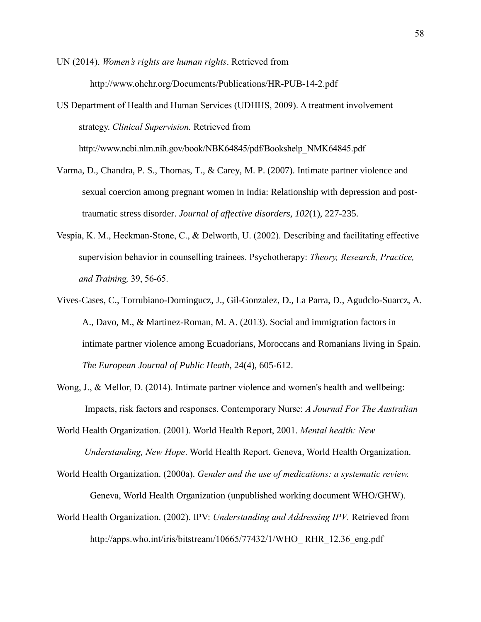UN (2014). *Women's rights are human rights*. Retrieved from http://www.ohchr.org/Documents/Publications/HR-PUB-14-2.pdf

US Department of Health and Human Services (UDHHS, 2009). A treatment involvement strategy. *Clinical Supervision.* Retrieved from http://www.ncbi.nlm.nih.gov/book/NBK64845/pdf/Bookshelp\_NMK64845.pdf

- Varma, D., Chandra, P. S., Thomas, T., & Carey, M. P. (2007). Intimate partner violence and sexual coercion among pregnant women in India: Relationship with depression and posttraumatic stress disorder. *Journal of affective disorders, 102*(1), 227-235.
- Vespia, K. M., Heckman-Stone, C., & Delworth, U. (2002). Describing and facilitating effective supervision behavior in counselling trainees. Psychotherapy: *Theory, Research, Practice, and Training,* 39, 56-65.

Vives-Cases, C., Torrubiano-Domingucz, J., Gil-Gonzalez, D., La Parra, D., Agudclo-Suarcz, A. A., Davo, M., & Martinez-Roman, M. A. (2013). Social and immigration factors in intimate partner violence among Ecuadorians, Moroccans and Romanians living in Spain. *The European Journal of Public Heath,* 24(4), 605-612.

Wong, J., & Mellor, D. (2014). Intimate partner violence and women's health and wellbeing: Impacts, risk factors and responses. Contemporary Nurse: *A Journal For The Australian* 

World Health Organization. (2001). World Health Report, 2001. *Mental health: New Understanding, New Hope*. World Health Report. Geneva, World Health Organization.

World Health Organization. (2000a). *Gender and the use of medications: a systematic review.*  Geneva, World Health Organization (unpublished working document WHO/GHW).

World Health Organization. (2002). IPV: *[Understanding and Addressing IPV.](http://apps.who.int/iris/bitstream/10665/77432/1/WHO_RHR_12.36_eng.pdf)* Retrieved from http://apps.who.int/iris/bitstream/10665/77432/1/WHO\_ RHR\_12.36\_eng.pdf